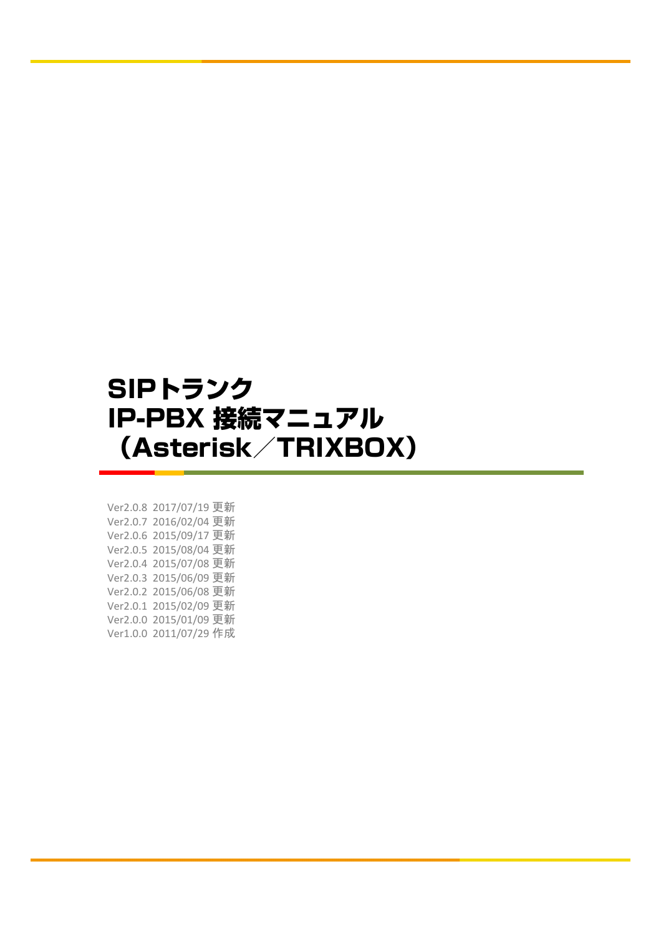# SIPトランク IP-PBX 接続マニュアル (Asterisk/TRIXBOX)

Ver2.0.8 2017/07/19 更新 Ver2.0.7 2016/02/04 更新 Ver2.0.6 2015/09/17 更新 Ver2.0.5 2015/08/04 更新 Ver2.0.4 2015/07/08 更新 Ver2.0.3 2015/06/09 更新 Ver2.0.2 2015/06/08 更新 Ver2.0.1 2015/02/09 更新 Ver2.0.0 2015/01/09 更新 Ver1.0.0 2011/07/29 作成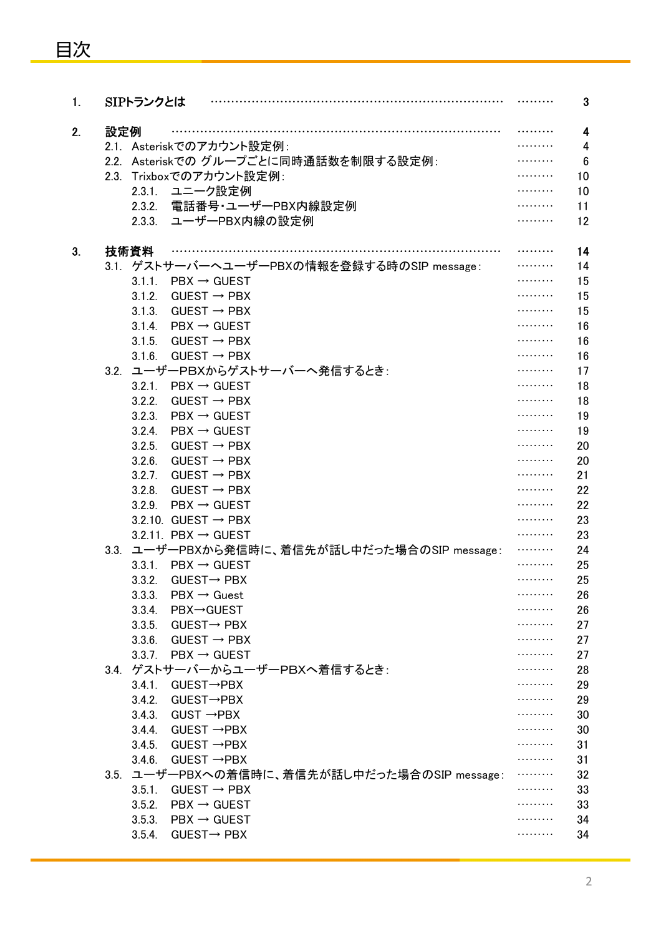| 1. |     | SIPトランクとは |                                              |            | 3              |
|----|-----|-----------|----------------------------------------------|------------|----------------|
| 2. | 設定例 |           |                                              |            | 4              |
|    |     |           | 2.1. Asteriskでのアカウント設定例:                     |            | 4              |
|    |     |           | 2.2. Asteriskでのグループごとに同時通話数を制限する設定例:         |            | $6\phantom{1}$ |
|    |     |           | 2.3. Trixboxでのアカウント設定例:                      |            | 10             |
|    |     |           | 2.3.1. ユニーク設定例                               |            | 10             |
|    |     |           | 2.3.2. 電話番号・ユーザーPBX内線設定例                     |            | 11             |
|    |     |           | 2.3.3. ユーザーPBX内線の設定例                         |            | 12             |
| 3. |     | 技術資料      |                                              |            | 14             |
|    |     |           | 3.1. ゲストサーバーへユーザーPBXの情報を登録する時のSIP message:   |            | 14             |
|    |     | 3.1.1.    | $\mathsf{PBX} \to \mathsf{GUEST}$            |            | 15             |
|    |     | 3.1.2.    | $GUEST \rightarrow PBX$                      |            | 15             |
|    |     | 3.1.3.    | $GUEST \rightarrow PBX$                      |            | 15             |
|    |     | 3.1.4.    | $\texttt{PBX} \rightarrow \texttt{GUEST}$    |            | 16             |
|    |     | 3.1.5.    | $GUEST \rightarrow PBX$                      |            | 16             |
|    |     | 3.1.6.    | $GUEST \rightarrow PBX$                      |            | 16             |
|    |     |           | 3.2. ユーザーPBXからゲストサーバーへ発信するとき:                |            | 17             |
|    |     | 3.2.1.    | $\mathsf{PBX} \to \mathsf{GUEST}$            |            | 18             |
|    |     | 3.2.2.    | $GUEST \rightarrow PBX$                      |            | 18             |
|    |     | 3.2.3.    | $\mathsf{PBX} \to \mathsf{GUEST}$            | .          | 19             |
|    |     | 3.2.4.    | $\text{PBX} \rightarrow \text{GUEST}$        | .          | 19             |
|    |     | 3.2.5.    | $GUEST \rightarrow PBX$                      |            | 20             |
|    |     | 3.2.6.    | $GUEST \rightarrow PBX$                      |            | 20             |
|    |     | 3.2.7.    | $GUEST \rightarrow PBX$                      |            | 21             |
|    |     | 3.2.8.    | $GUEST \rightarrow PBX$                      |            | 22             |
|    |     | 3.2.9.    | $\texttt{PBX} \rightarrow \texttt{GUEST}$    |            | 22             |
|    |     |           | 3.2.10. GUEST $\rightarrow$ PBX              |            | 23             |
|    |     |           | 3.2.11. PBX $\rightarrow$ GUEST              |            | 23             |
|    |     |           | 3.3. ユーザーPBXから発信時に、着信先が話し中だった場合のSIP message: |            | 24             |
|    |     |           | 3.3.1. PBX $\rightarrow$ GUEST               |            | 25             |
|    |     | 3.3.2.    | $GUEST \rightarrow PBX$                      | .          | 25             |
|    |     |           | 3.3.3. PBX $\rightarrow$ Guest               |            | 26             |
|    |     | 3.3.4.    | PBX→GUEST                                    | .          | 26             |
|    |     | 3.3.5.    | $GUEST \rightarrow PBX$                      | .          | 27             |
|    |     | 3.3.6.    | GUEST $\rightarrow$ PBX                      |            | 27             |
|    |     |           | 3.3.7. PBX $\rightarrow$ GUEST               |            | 27             |
|    |     |           | 3.4. ゲストサーバーからユーザーPBXへ着信するとき:                |            | 28             |
|    |     | 3.4.1.    | $GUEST \rightarrow PBX$                      |            | 29             |
|    |     |           | 3.4.2. GUEST→PBX                             |            | 29             |
|    |     |           | 3.4.3. GUST $\rightarrow$ PBX                |            | 30             |
|    |     |           | 3.4.4. GUEST $\rightarrow$ PBX               | .          | 30             |
|    |     | 3.4.5.    | $GUEST \rightarrow PBX$                      | .          | 31             |
|    |     | 3.4.6.    | $GUEST \rightarrow PBX$                      | . <b>.</b> | 31             |
|    |     |           | 3.5. ユーザーPBXへの着信時に、着信先が話し中だった場合のSIP message: |            | 32             |
|    |     | 3.5.1.    | $GUEST \rightarrow PBX$                      |            | 33             |
|    |     | 3.5.2.    | $\texttt{PBX} \rightarrow \texttt{GUEST}$    |            | 33             |
|    |     |           | 3.5.3. PBX $\rightarrow$ GUEST               |            | 34             |
|    |     |           | 3.5.4. GUEST $\rightarrow$ PBX               |            | 34             |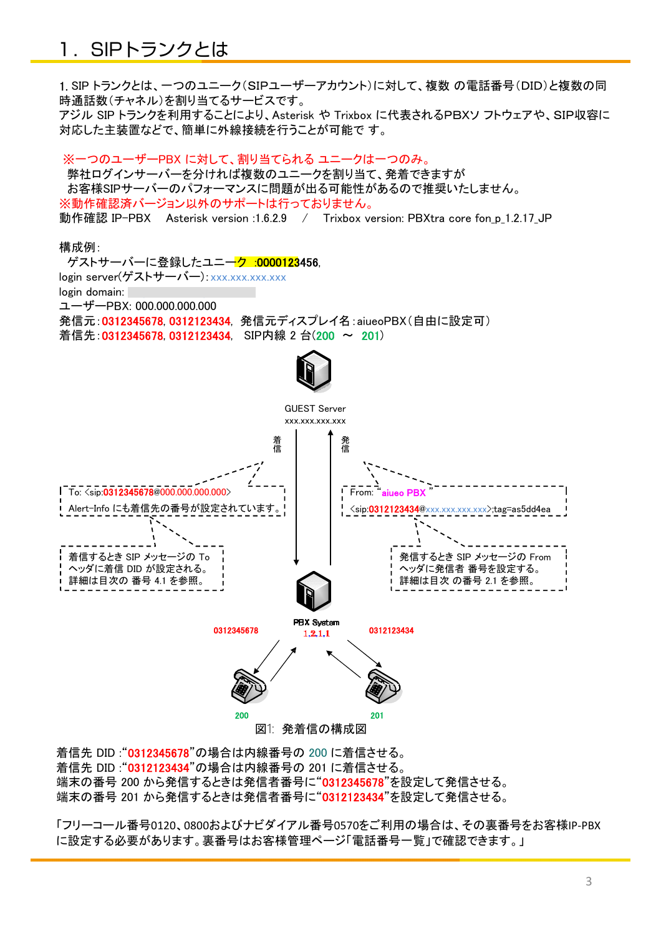## 1.SIPトランクとは

1. SIP トランクとは、一つのユニーク(SIPユーザーアカウント)に対して、複数 の電話番号(DID)と複数の同 時通話数(チャネル)を割り当てるサービスです。

アジル SIP トランクを利用することにより、Asterisk や Trixbox に代表されるPBXソ フトウェアや、SIP収容に 対応した主装置などで、簡単に外線接続を行うことが可能で す。

※一つのユーザーPBX に対して、割り当てられる ユニークは一つのみ。 弊社ログインサーバーを分ければ複数のユニークを割り当て、発着できますが お客様SIPサーバーのパフォーマンスに問題が出る可能性があるので推奨いたしません。 ※動作確認済バージョン以外のサポートは行っておりません。 動作確認 IP-PBX Asterisk version :1.6.2.9 / Trixbox version: PBXtra core fon p 1.2.17 JP

構成例:

ゲストサーバーに登録したユニーク :0000123456, login server(ゲストサーバー): xxx.xxx.xxx.xxx login domain: ユーザーPBX: 000.000.000.000 発信元:0312345678, 0312123434, 発信元ディスプレイ名:aiueoPBX(自由に設定可) 着信先:0312345678, 0312123434, SIP内線 2 台(200 ~ 201) 発信着信GUEST Server xxx.xxx.xxx.xxx To: <sip:0312345678@000.000.000.000> Alert-Info にも着信先の番号が設定されています。 着信するとき SIP メッセージの To ヘッダに着信 DID が設定される。 詳細は目次の 番号 4.1 を参照。 From: <sip:0312123434@xxx.xxx.xxx.xxx>;tag=as5dd4ea 発信するとき SIP メッセージの From ヘッダに発信者 番号を設定する。 詳細は目次 の番号 2.1 を参照。 PBX System<br>0312345678 1.2.1.1 0312123434 200 201 図1: 発着信の構成図

着信先 DID :"0312345678"の場合は内線番号の 200 に着信させる。 着信先 DID :"0312123434"の場合は内線番号の 201 に着信させる。 端末の番号 200 から発信するときは発信者番号に"0312345678"を設定して発信させる。 端末の番号 201 から発信するときは発信者番号に"0312123434"を設定して発信させる。

「フリーコール番号0120、0800およびナビダイアル番号0570をご利用の場合は、その裏番号をお客様IP-PBX に設定する必要があります。裏番号はお客様管理ページ「電話番号一覧」で確認できます。」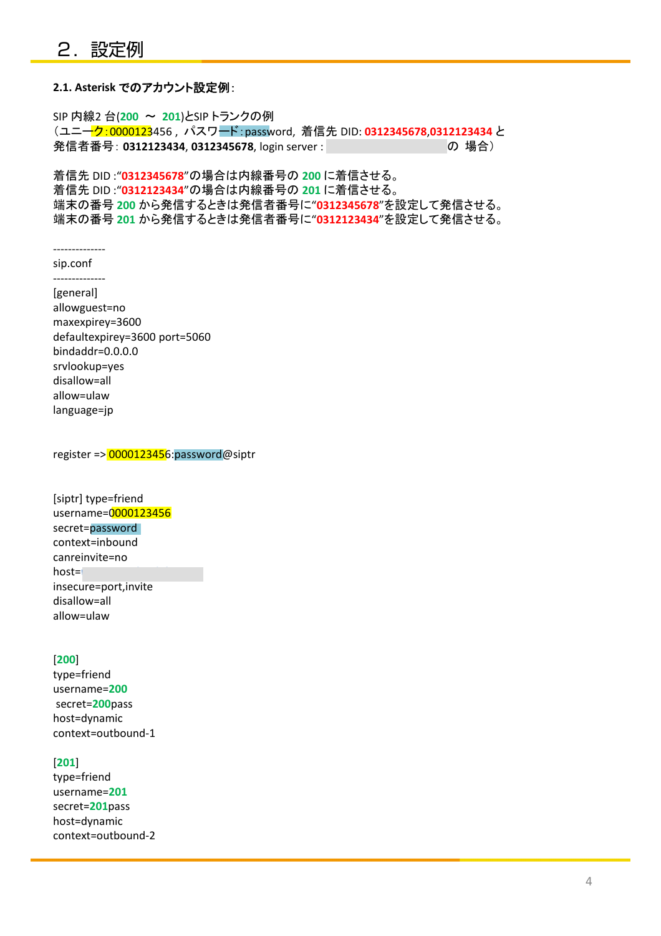#### **2.1. Asterisk** でのアカウント設定例:

SIP 内線2 台(**200** ~ **201**)とSIP トランクの例 (ユニーク:0000123456 , パスワード:password, 着信先 DID: **0312345678**,**0312123434** と 発信者番号: 0312123434, 0312345678, login server : voidbax.com の 場合)

着信先 DID :"**0312345678**"の場合は内線番号の **200** に着信させる。 着信先 DID :"**0312123434**"の場合は内線番号の **201** に着信させる。 端末の番号 **200** から発信するときは発信者番号に"**0312345678**"を設定して発信させる。 端末の番号 **201** から発信するときは発信者番号に"**0312123434**"を設定して発信させる。

--------------

sip.conf -------------- [general] allowguest=no maxexpirey=3600 defaultexpirey=3600 port=5060 bindaddr=0.0.0.0 srvlookup=yes disallow=all allow=ulaw language=jp

register => 0000123456:password@siptr

[siptr] type=friend username=0000123456 secret=password context=inbound canreinvite=no host= insecure=port,invite disallow=all allow=ulaw

#### [**200**]

type=friend username=**200** secret=**200**pass host=dynamic context=outbound-1

#### [**201**]

type=friend username=**201** secret=**201**pass host=dynamic context=outbound-2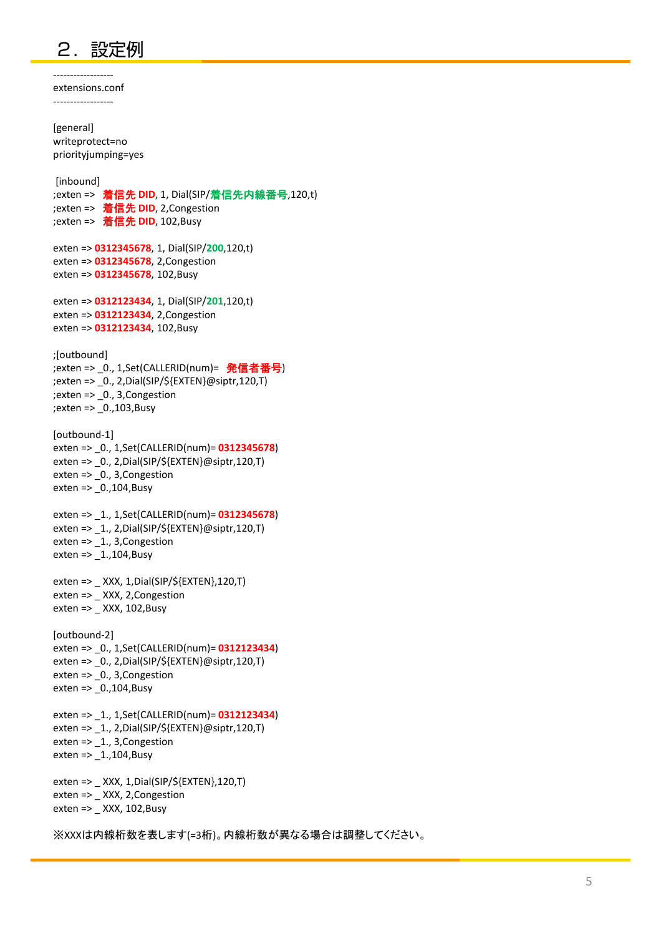## 2. 設定例

----------------- extensions.conf

------------------ [general] writeprotect=no priorityjumping=yes [inbound] ;exten => 着信先 **DID**, 1, Dial(SIP/着信先内線番号,120,t) ;exten => 着信先 **DID**, 2,Congestion ;exten => 着信先 **DID**, 102,Busy exten => 0312345678, 1, Dial(SIP/200,120,t) exten => **0312345678**, 2,Congestion exten => **0312345678**, 102,Busy exten => **0312123434**, 1, Dial(SIP/**201**,120,t) exten => **0312123434**, 2,Congestion exten => **0312123434**, 102,Busy ;[outbound] ;exten => \_0., 1,Set(CALLERID(num)= 発信者番号) ;exten => \_0., 2,Dial(SIP/\${EXTEN}@siptr,120,T) ;exten => \_0., 3,Congestion ;exten => \_0.,103,Busy [outbound-1] exten => \_0., 1,Set(CALLERID(num)= **0312345678**) exten => \_0., 2,Dial(SIP/\${EXTEN}@siptr,120,T) exten => \_0., 3,Congestion exten = $> 0.104$ , Busy exten => \_1., 1,Set(CALLERID(num)= **0312345678**) exten => \_1., 2,Dial(SIP/\${EXTEN}@siptr,120,T) exten => 1., 3, Congestion exten => \_1.,104,Busy exten => \_ XXX, 1,Dial(SIP/\${EXTEN},120,T) exten => XXX, 2, Congestion exten => $XXX$ , 102, Busy [outbound-2] exten => \_0., 1,Set(CALLERID(num)= **0312123434**) exten => \_0., 2,Dial(SIP/\${EXTEN}@siptr,120,T) exten => 0., 3, Congestion exten = $> 0.104$ , Busy exten => \_1., 1,Set(CALLERID(num)= **0312123434**) exten => \_1., 2,Dial(SIP/\${EXTEN}@siptr,120,T) exten => 1., 3, Congestion exten => 1.,104,Busy exten => \_ XXX, 1,Dial(SIP/\${EXTEN},120,T) exten => XXX, 2, Congestion exten => \_ XXX, 102,Busy

※XXXは内線桁数を表します(=3桁)。内線桁数が異なる場合は調整してください。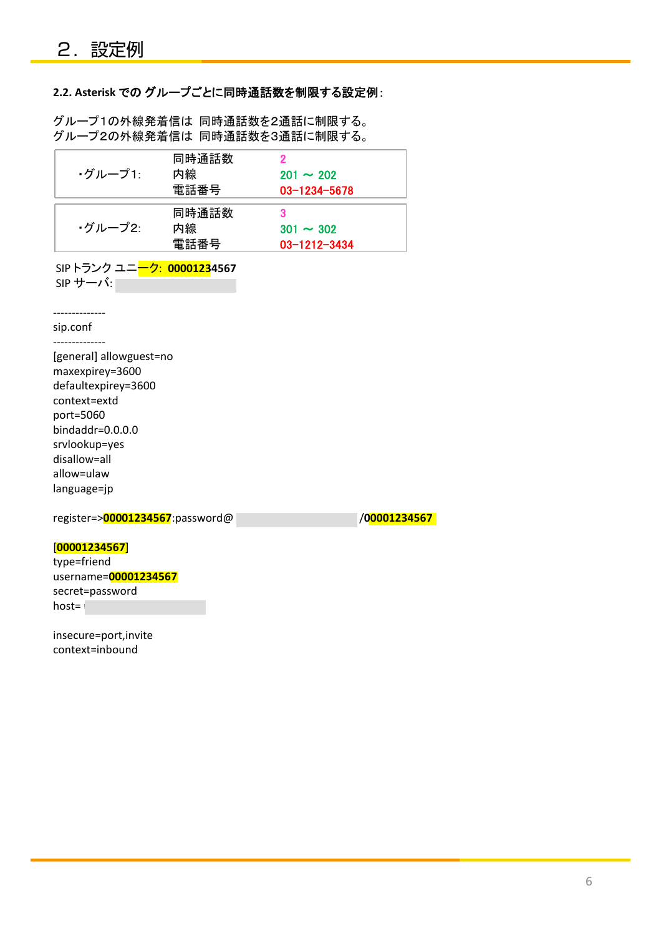#### **2.2. Asterisk** での グループごとに同時通話数を制限する設定例:

グループ1の外線発着信は 同時通話数を2通話に制限する。 グループ2の外線発着信は 同時通話数を3通話に制限する。

| ▪グループ1∶ | 同時通話数<br>内線<br>電話番号 | $201 \sim 202$<br>$03 - 1234 - 5678$ |
|---------|---------------------|--------------------------------------|
| ・グループ2: | 同時通話数<br>内線<br>電話番号 | $301 \sim 302$<br>$03 - 1212 - 3434$ |

SIP トランク ユニーク: **00001234567** SIP サーバ: *voip0000.cloudpbx.com*

------------- sip.conf

--------------

[general] allowguest=no maxexpirey=3600 defaultexpirey=3600 context=extd port=5060 bindaddr=0.0.0.0 srvlookup=yes disallow=all allow=ulaw language=jp

register=><mark>00001234567</mark>:password@ *voidpbx.com /00001234567* 

#### [**00001234567**]

type=friend username=**00001234567**  secret=password host= *v* 

insecure=port,invite context=inbound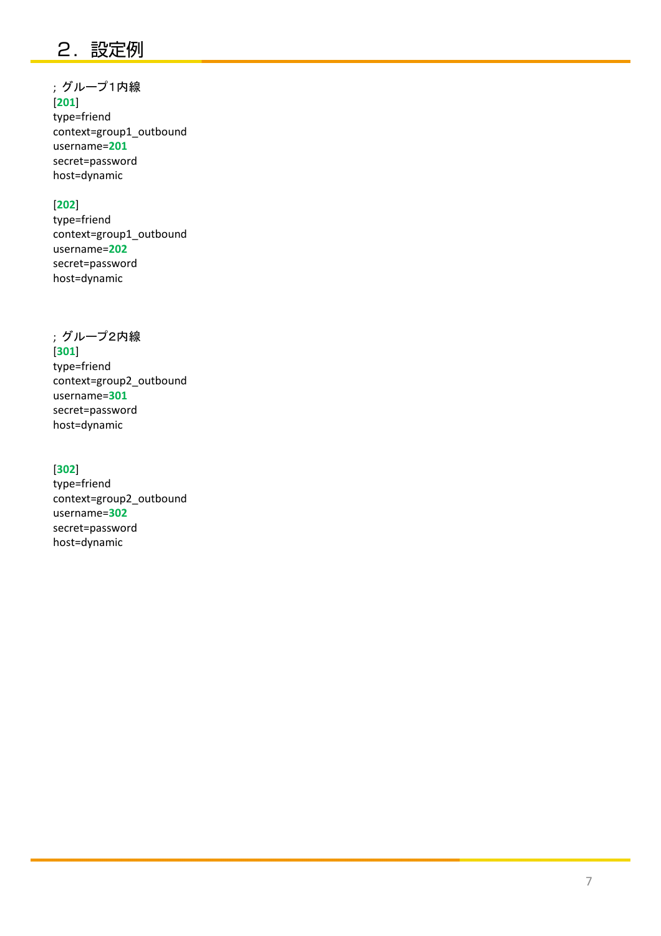## 2. 設定例

## ; グループ1内線

[**201**] type=friend context=group1\_outbound username=**201** secret=password host=dynamic

#### [**202**]

type=friend context=group1\_outbound username=**202** secret=password host=dynamic

#### ; グループ2内線

[**301**] type=friend context=group2\_outbound username=**301** secret=password host=dynamic

#### [**302**]

type=friend context=group2\_outbound username=**302** secret=password host=dynamic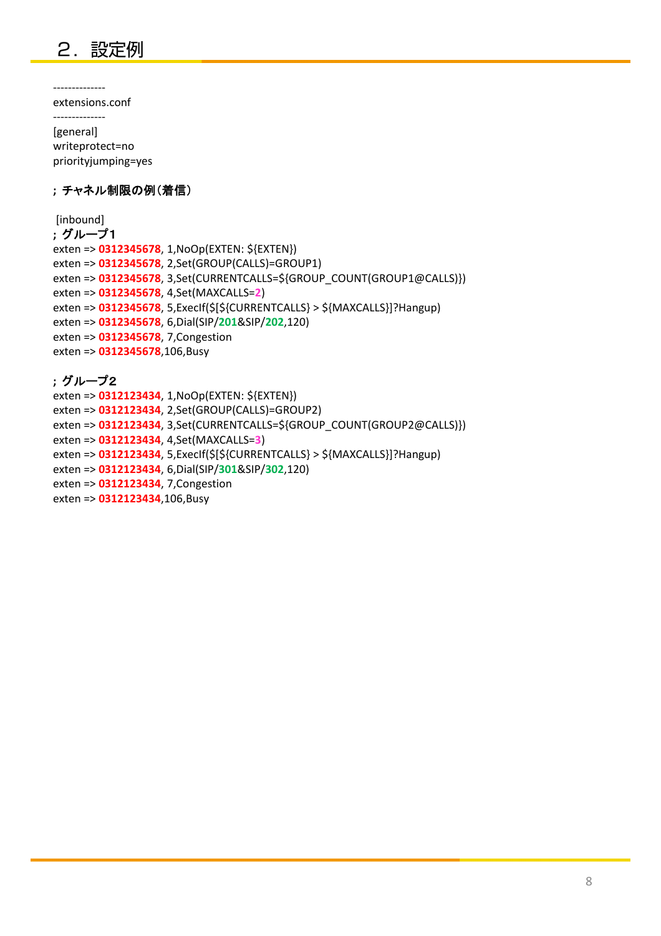

--------------

extensions.conf --------------

[general] writeprotect=no priorityjumping=yes

#### **;** チャネル制限の例(着信)

[inbound]

```
; グループ1
exten => 0312345678, 1,NoOp(EXTEN: ${EXTEN})
exten => 0312345678, 2,Set(GROUP(CALLS)=GROUP1)
exten => 0312345678, 3,Set(CURRENTCALLS=${GROUP_COUNT(GROUP1@CALLS)}) 
exten => 0312345678, 4,Set(MAXCALLS=2)
exten => 0312345678, 5,ExecIf($[${CURRENTCALLS} > ${MAXCALLS}]?Hangup) 
exten => 0312345678, 6,Dial(SIP/201&SIP/202,120)
exten => 0312345678, 7,Congestion
exten => 0312345678,106,Busy
```
### **;** グループ2

```
exten => 0312123434, 1,NoOp(EXTEN: ${EXTEN})
exten => 0312123434, 2,Set(GROUP(CALLS)=GROUP2)
exten => 0312123434, 3,Set(CURRENTCALLS=${GROUP_COUNT(GROUP2@CALLS)}) 
exten => 0312123434, 4,Set(MAXCALLS=3)
exten => 0312123434, 5,ExecIf($[${CURRENTCALLS} > ${MAXCALLS}]?Hangup) 
exten => 0312123434 , 6,Dial(SIP/ 301&SIP/302,120)
exten => 0312123434, 7,Congestion 
exten => 0312123434,106,Busy
```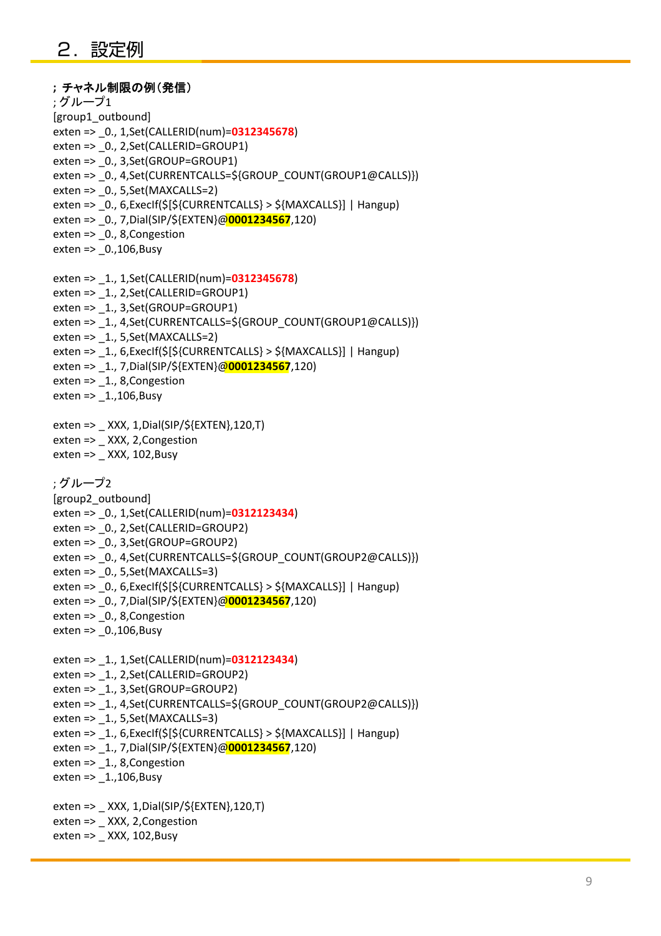```
; チャネル制限の例(発信)
; グループ1
[group1_outbound]
exten => _0., 1,Set(CALLERID(num)=0312345678)
exten => 0., 2,Set(CALLERID=GROUP1)
exten => 0., 3,Set(GROUP=GROUP1)
exten => _0., 4,Set(CURRENTCALLS=${GROUP_COUNT(GROUP1@CALLS)})
exten => 0., 5,Set(MAXCALLS=2)
exten => 0., 6,ExecIf($[${CURRENTCALLS} > ${MAXCALLS}] | Hangup)
exten => _0., 7,Dial(SIP/${EXTEN}@0001234567,120)
exten => _0., 8,Congestion
exten => _0.,106,Busy
exten => _1., 1,Set(CALLERID(num)=0312345678)
exten => 1., 2,Set(CALLERID=GROUP1)
exten => 1., 3,Set(GROUP=GROUP1)
exten => 1., 4,Set(CURRENTCALLS=${GROUP_COUNT(GROUP1@CALLS)})
exten => 1., 5, Set(MAXCALLS=2)exten => 1., 6,ExecIf($[${CURRENTCALLS} > ${MAXCALLS}] | Hangup)
exten => _1., 7,Dial(SIP/${EXTEN}@0001234567,120)
exten => _1., 8,Congestion
exten => 1.,106,Busy
exten => _ XXX, 1,Dial(SIP/${EXTEN},120,T)
exten => XXX, 2, Congestion
exten =>XXX, 102, Busy
; グループ2
[group2_outbound]
exten => _0., 1,Set(CALLERID(num)=0312123434)
exten => 0., 2,Set(CALLERID=GROUP2)
exten => 0., 3,Set(GROUP=GROUP2)
exten => 0., 4,Set(CURRENTCALLS=${GROUP_COUNT(GROUP2@CALLS)})
exten => 0., 5,Set(MAXCALLS=3)
exten => 0., 6,ExecIf($[${CURRENTCALLS} > ${MAXCALLS}] | Hangup)
exten => _0., 7,Dial(SIP/${EXTEN}@0001234567,120)
exten => 0., 8, Congestion
exten => _0.,106,Busy
exten => _1., 1,Set(CALLERID(num)=0312123434)
exten => 1., 2,Set(CALLERID=GROUP2)
exten => 1., 3,Set(GROUP=GROUP2)
exten => _1., 4,Set(CURRENTCALLS=${GROUP_COUNT(GROUP2@CALLS)})
exten = > 1., 5, Set(MAXCALLS=3)exten => 1., 6,ExecIf($[${CURRENTCALLS} > ${MAXCALLS}] | Hangup)
exten => _1., 7,Dial(SIP/${EXTEN}@0001234567,120)
exten => 1., 8,Congestion
exten => 1.,106,Busy
exten => _ XXX, 1,Dial(SIP/${EXTEN},120,T)
exten => XXX, 2, Congestion
exten => _ XXX, 102,Busy
```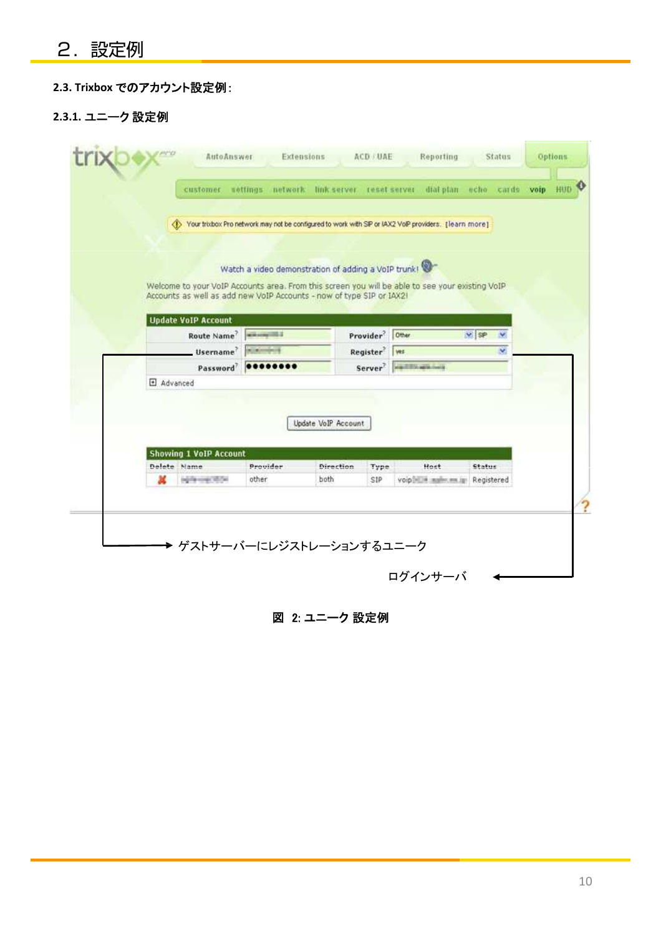## **2.3. Trixbox** でのアカウント設定例:

### **2.3.1.** ユニーク 設定例

|                  |                               |                                                                      |                     |                             |                                                                                                          |                      | HUD <sub>Q</sub> |
|------------------|-------------------------------|----------------------------------------------------------------------|---------------------|-----------------------------|----------------------------------------------------------------------------------------------------------|----------------------|------------------|
|                  |                               |                                                                      |                     |                             | (1) Your trixbox Pro network may not be configured to work with SIP or IAX2 VoIP providers. [learn more] |                      |                  |
|                  |                               |                                                                      |                     |                             |                                                                                                          |                      |                  |
|                  |                               | Watch a video demonstration of adding a VoIP trunk!                  |                     |                             |                                                                                                          |                      |                  |
|                  |                               |                                                                      |                     |                             | Welcome to your VoIP Accounts area. From this screen you will be able to see your existing VoIP          |                      |                  |
|                  |                               | Accounts as well as add new VolP Accounts - now of type SIP or IAX21 |                     |                             |                                                                                                          |                      |                  |
|                  | <b>Update VoIP Account</b>    |                                                                      |                     |                             |                                                                                                          |                      |                  |
|                  | Route Name <sup>2</sup>       |                                                                      |                     | Provider <sup>2</sup> Other |                                                                                                          | $V$ SP<br>$\sim$     |                  |
|                  | Username <sup>7</sup>         |                                                                      |                     | Register <sup>?</sup>   ves |                                                                                                          | ×                    |                  |
|                  |                               | Password 00000000                                                    |                     |                             | Server <sup>7</sup> - Server                                                                             |                      |                  |
| Advanced         |                               |                                                                      |                     |                             |                                                                                                          |                      |                  |
|                  |                               |                                                                      |                     |                             |                                                                                                          |                      |                  |
|                  |                               |                                                                      |                     |                             |                                                                                                          |                      |                  |
|                  |                               |                                                                      | Update VoIP Account |                             |                                                                                                          |                      |                  |
|                  |                               |                                                                      |                     |                             |                                                                                                          |                      |                  |
|                  | <b>Showing 1 VoIP Account</b> |                                                                      |                     |                             |                                                                                                          |                      |                  |
| Delete Name<br>ж | being corps 10.041            | Provider<br>other                                                    | Direction<br>both   | Type<br>SIP                 | Host<br>voipbillin mailer are igo                                                                        | Status<br>Registered |                  |
|                  |                               |                                                                      |                     |                             |                                                                                                          |                      |                  |
|                  |                               |                                                                      |                     |                             |                                                                                                          |                      |                  |
|                  |                               |                                                                      |                     |                             |                                                                                                          |                      |                  |
|                  |                               |                                                                      |                     |                             |                                                                                                          |                      |                  |

図 2: ユニーク 設定例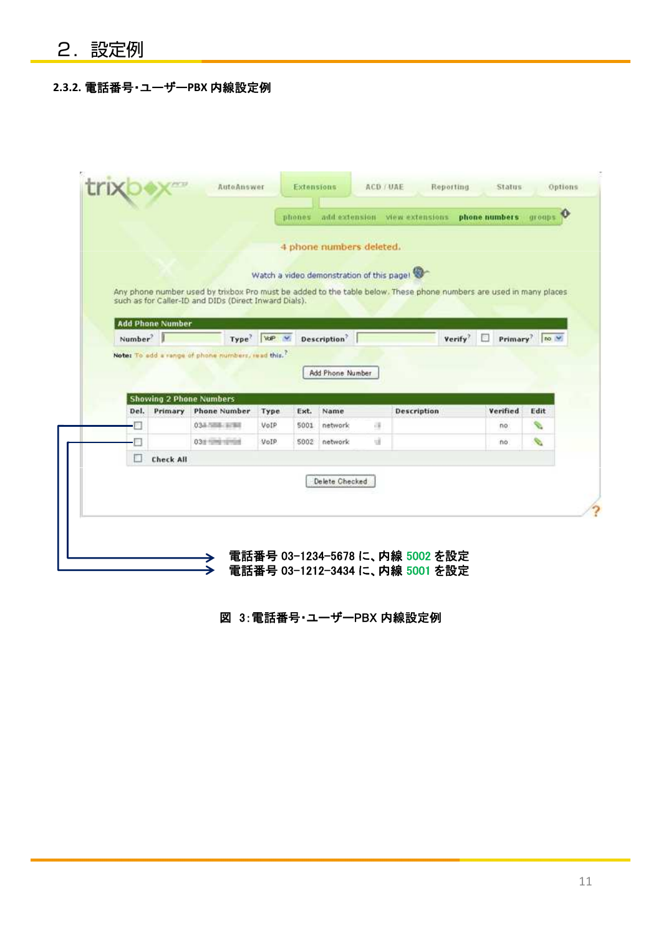## **2.3.2.** 電話番号・ユーザー**PBX** 内線設定例

|                     |                         |                                                       |                          |      | 4 phone numbers deleted.                  |               |                                                                                                                    |          |                           |
|---------------------|-------------------------|-------------------------------------------------------|--------------------------|------|-------------------------------------------|---------------|--------------------------------------------------------------------------------------------------------------------|----------|---------------------------|
|                     |                         |                                                       |                          |      | Watch a video demonstration of this page! |               |                                                                                                                    |          |                           |
|                     |                         | such as for Caller-ID and DIDs (Direct Inward Dials). |                          |      |                                           |               | Any phone number used by trixbox Pro must be added to the table below. These phone numbers are used in many places |          |                           |
|                     | <b>Add Phone Number</b> |                                                       |                          |      |                                           |               |                                                                                                                    |          |                           |
| Number <sup>?</sup> |                         |                                                       | Type <sup>?</sup> VdP V. |      | Description <sup>?</sup>                  |               | Verify <sup>7</sup>                                                                                                | 固        | Primary <sup>7</sup> no W |
|                     |                         | Note: To add a range of phone numbers, read this."    |                          |      |                                           |               |                                                                                                                    |          |                           |
|                     |                         |                                                       |                          |      | Add Phone Number                          |               |                                                                                                                    |          |                           |
|                     |                         |                                                       |                          |      |                                           |               |                                                                                                                    |          |                           |
|                     |                         | <b>Showing 2 Phone Numbers</b>                        |                          |      |                                           |               |                                                                                                                    |          |                           |
|                     |                         |                                                       | Type                     | Ext. | Name                                      |               | <b>Description</b>                                                                                                 | Verified | Edit                      |
| Del.                | Primary                 | <b>Phone Number</b>                                   |                          |      |                                           |               |                                                                                                                    | no       |                           |
| o                   |                         | 033788-3788                                           | VoIP                     | 5001 | network                                   | $\frac{1}{2}$ |                                                                                                                    |          | s.                        |
| п                   |                         | 038 1208 12101                                        | VoIP                     | 5002 | network                                   | ωï            |                                                                                                                    | no       | s.                        |
| □                   | <b>Check All</b>        |                                                       |                          |      |                                           |               |                                                                                                                    |          |                           |
|                     |                         |                                                       |                          |      |                                           |               |                                                                                                                    |          |                           |
|                     |                         |                                                       |                          |      | Delete Checked                            |               |                                                                                                                    |          |                           |

### 図 3:電話番号・ユーザーPBX 内線設定例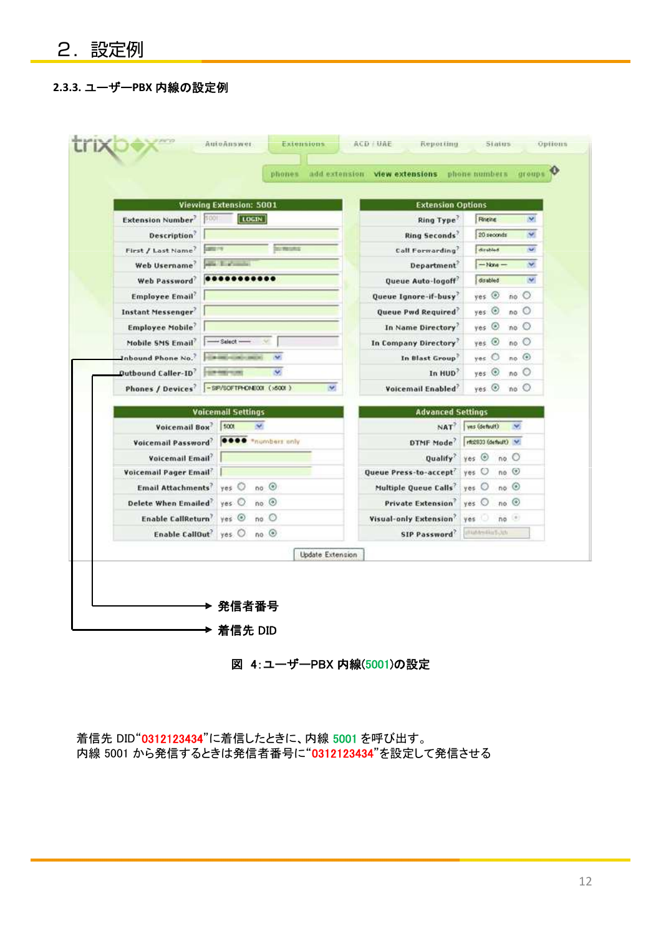### **2.3.3.** ユーザー**PBX** 内線の設定例

|                                                      | <b>Viewing Extension: 5001</b> | <b>Extension Options</b>  |                                           |  |  |  |  |
|------------------------------------------------------|--------------------------------|---------------------------|-------------------------------------------|--|--|--|--|
| <b>Extension Number</b> 500                          | $ $ LOGIN                      | Ring Type                 | Ringing<br>×                              |  |  |  |  |
| <b>Description</b>                                   |                                | <b>Ring Seconds</b>       | 20 seconds<br>×                           |  |  |  |  |
| First / Last Name <sup>7</sup><br><b>CARD IV</b>     |                                | Call Forwarding           | distint<br>$\mathcal{M}$                  |  |  |  |  |
| Web Username                                         | <b>Sherifford</b>              | Department <sup>®</sup>   | $\infty$<br>$-$ None --                   |  |  |  |  |
| Web Password                                         |                                | Queue Auto-logoff         | $\sim$<br>dirabled                        |  |  |  |  |
| <b>Employee Email</b>                                |                                | Queue Ignore-if-busy      | yes O<br>no                               |  |  |  |  |
| Instant Messenger                                    |                                | <b>Queue Pwd Required</b> | yes O<br>no                               |  |  |  |  |
| <b>Employee Mobile</b>                               |                                | In Name Directory         | $no$ <sup><math>O</math></sup><br>yes (e) |  |  |  |  |
| Mobile SMS Email                                     | $-$ Select $-$                 | In Company Directory      | yes $\circledcirc$<br>no                  |  |  |  |  |
| Inbound Phone No.                                    | <b>HOW AND HOWEVER BROWN</b>   | In Blast Group            | $no$ $\odot$<br>yes O                     |  |  |  |  |
| <b>Dutbound Caller-ID</b>                            | v.<br><b>ESPARFORD</b>         | In HUD                    | yes $\odot$<br>no                         |  |  |  |  |
| Phones / Devices <sup>7</sup> -SP/SOFTPICNEOT (x600) | M.                             | Voicemail Enabled         | yes (0)<br>no                             |  |  |  |  |
|                                                      | <b>Voicemail Settings</b>      | <b>Advanced Settings</b>  |                                           |  |  |  |  |
| Voicemail Box <sup>2</sup> 500                       | $\mathcal{M}$                  |                           | NAT <sup>?</sup> vs (defulf)<br>×         |  |  |  |  |
| Voicemail Password <sup>?</sup> 0000 *numbers only   |                                | DTMF Mode                 | rfc2833 (default) M:                      |  |  |  |  |
| Voicemail Email                                      |                                | Qualify <sup>7</sup>      | yes (0)<br>no                             |  |  |  |  |
| Voicemail Pager Email                                |                                | Queue Press-to-accept     | yes O<br>$no$ $\circledcirc$              |  |  |  |  |
| <b>Email Attachments</b>                             | $no$ $\odot$<br>yes O          | Multiple Queue Calls'     | yes O no O                                |  |  |  |  |
| Delete When Emailed                                  | $no$ $\odot$<br>yes O          | <b>Private Extension</b>  | yes $O$ no $O$                            |  |  |  |  |
| Enable CallReturn                                    | $yes$ $\odot$<br>$no$ $O$      | Visual-only Extension     | no<br>yes U                               |  |  |  |  |
| Enable CallOut' yes                                  | $no$ $\odot$                   | SIP Password              | distantiation                             |  |  |  |  |
|                                                      |                                | <b>Update Extension</b>   |                                           |  |  |  |  |

図 4:ユーザーPBX 内線(5001)の設定

着信先 DID"0312123434"に着信したときに、内線 5001 を呼び出す。 内線 5001 から発信するときは発信者番号に"0312123434"を設定して発信させる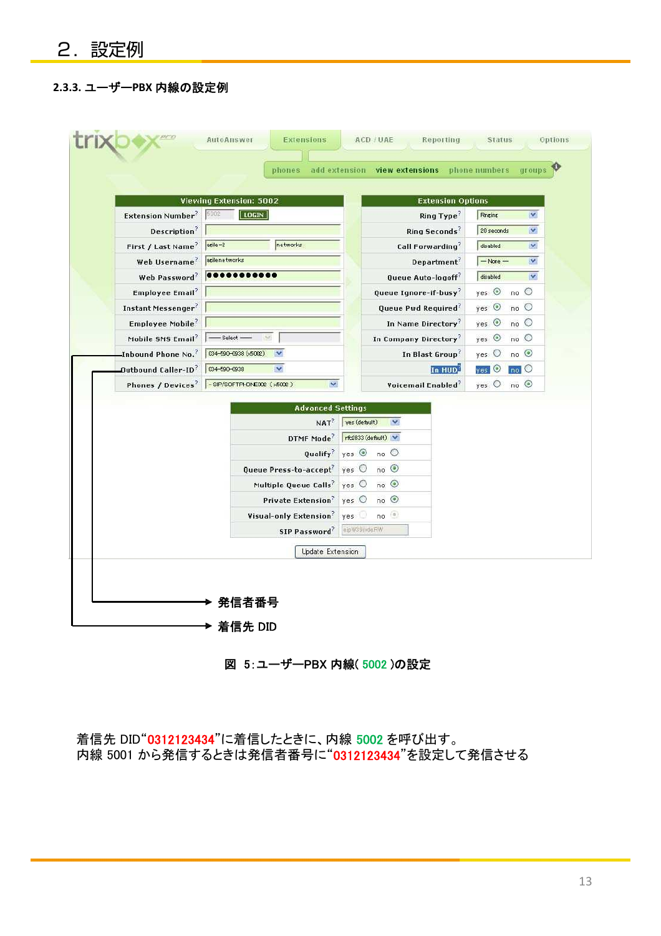### **2.3.3.** ユーザー**PBX** 内線の設定例

|                                          | <b>Viewing Extension: 5002</b>       |                                 | <b>Extension Options</b>          |                    |              |  |
|------------------------------------------|--------------------------------------|---------------------------------|-----------------------------------|--------------------|--------------|--|
| <b>Extension Number<sup>?</sup></b> 5002 | <b>LOGIN</b>                         |                                 | Ring Type?                        | <b>Ringing</b>     | $\checkmark$ |  |
| Description <sup>?</sup>                 |                                      |                                 | Ring Seconds <sup>?</sup>         | 20 seconds         | $\checkmark$ |  |
| First / Last Name?                       | networks<br>$a$ gile $-2$            |                                 | Call Forwarding?                  | disabled           | $\vee$       |  |
| Web Username?                            | agilenetworks                        |                                 | Department <sup>?</sup>           | $-$ None $-$       | $\checkmark$ |  |
| Web Password?                            |                                      |                                 | Queue Auto-logoff                 | disabled           | $\checkmark$ |  |
| Employee Email?                          |                                      |                                 | Queue Ignore-if-busy <sup>?</sup> | $yes$ $\odot$      | no           |  |
| Instant Messenger <sup>?</sup>           |                                      |                                 | Queue Pwd Required?               | $yes$ $\odot$      | $no$ $O$     |  |
| Employee Mobile?                         |                                      |                                 | In Name Directory?                | yes                | no           |  |
| Mobile SMS Email?                        | $-$ Select $-$                       |                                 | In Company Directory'             | yes $\odot$        | no           |  |
| Inbound Phone No. <sup>?</sup>           | 034-590-0938 (x5002)<br>$\mathbf{v}$ |                                 | In Blast Group?                   | yes O              | no           |  |
| Outbound Caller-ID?                      | $\checkmark$<br>034-590-0938         |                                 | In HUD                            | yes <sup>1</sup> O | $no$ O       |  |
| Phones / Devices <sup>?</sup>            | -SIP/SOFTPHONE002 (x5002)<br>×       |                                 | Voicemail Enabled                 | yes O              | no           |  |
|                                          | <b>Advanced Settings</b>             |                                 |                                   |                    |              |  |
|                                          |                                      | NAT? ves (default)              | $\overline{\mathbf{v}}$           |                    |              |  |
|                                          | DTMF Mode <sup>2</sup>               | rtc2833 (default)               |                                   |                    |              |  |
|                                          | Qualify?                             | $yes \odot$                     | no                                |                    |              |  |
|                                          | Queue Press-to-accept <sup>?</sup>   | yes O                           | no                                |                    |              |  |
|                                          | Multiple Queue Calls?                | $\gamma$ es $\circlearrowright$ | no                                |                    |              |  |
|                                          | <b>Private Extension</b>             | yes O                           | $no$ $\odot$                      |                    |              |  |
|                                          | Visual-only Extension?               | yes                             | no                                |                    |              |  |
|                                          | SIP Password                         | eipW39ndeFiW                    |                                   |                    |              |  |
|                                          |                                      |                                 |                                   |                    |              |  |
|                                          | Update Extension                     |                                 |                                   |                    |              |  |

図 5:ユーザーPBX 内線( 5002 )の設定

着信先 DID"0312123434"に着信したときに、内線 5002 を呼び出す。 内線 5001 から発信するときは発信者番号に"0312123434"を設定して発信させる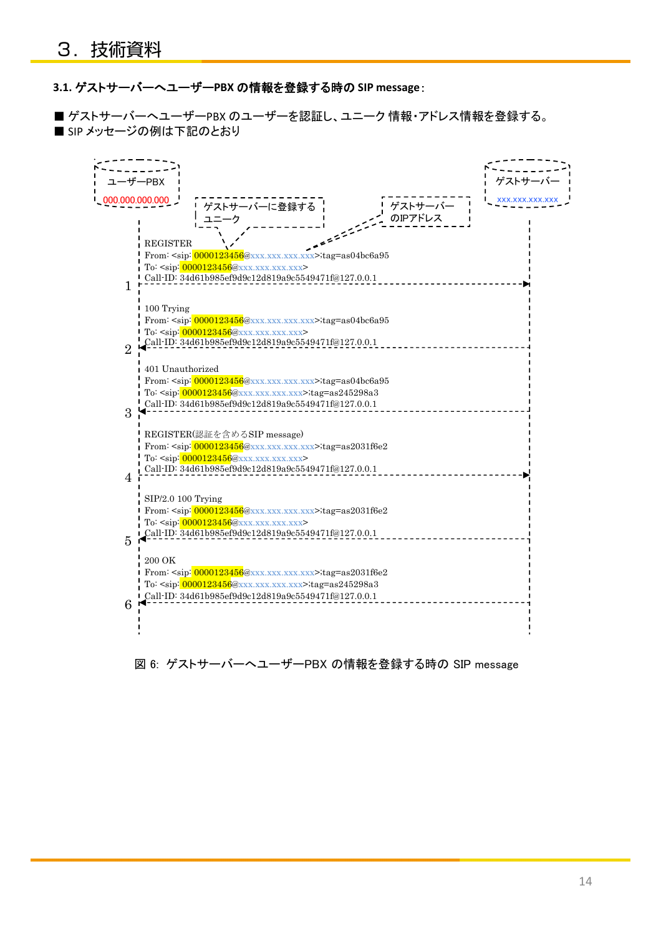#### **3.1.** ゲストサーバーへユーザー**PBX** の情報を登録する時の **SIP message**:

■ ゲストサーバーへユーザーPBX のユーザーを認証し、ユニーク 情報・アドレス情報を登録する。 ■ SIP メッセージの例は下記のとおり



図 6: ゲストサーバーへユーザーPBX の情報を登録する時の SIP message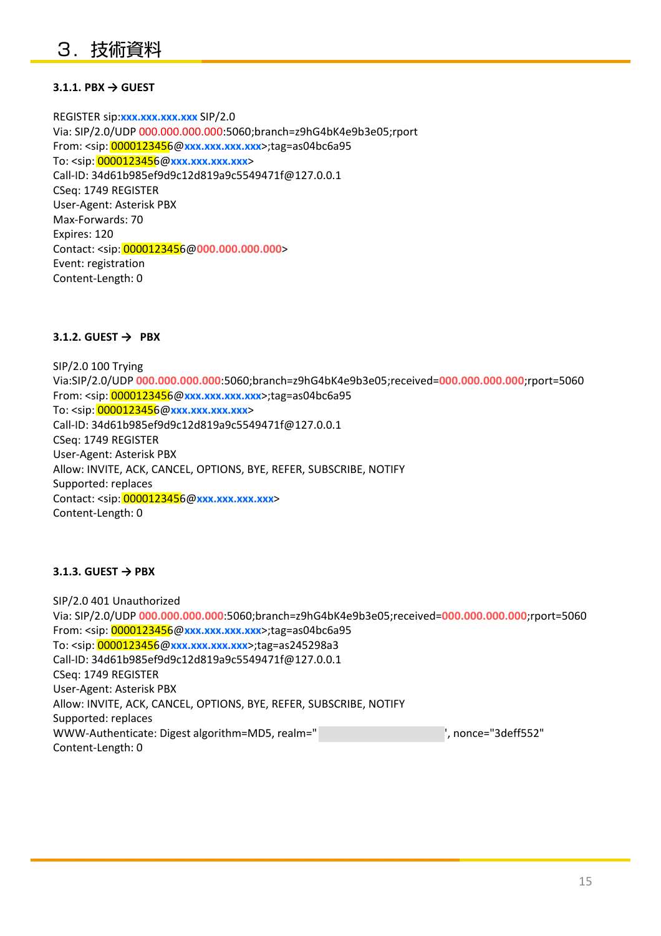#### **3.1.1. PBX → GUEST**

REGISTER sip:**xxx.xxx.xxx.xxx** SIP/2.0 Via: SIP/2.0/UDP 000.000.000.000:5060;branch=z9hG4bK4e9b3e05;rport From: <sip: 0000123456@**xxx.xxx.xxx.xxx**>;tag=as04bc6a95 To: <sip: 0000123456@**xxx.xxx.xxx.xxx**> Call-ID: 34d61b985ef9d9c12d819a9c5549471f@127.0.0.1 CSeq: 1749 REGISTER User-Agent: Asterisk PBX Max-Forwards: 70 Expires: 120 Contact: <sip: 0000123456@**000.000.000.000**> Event: registration Content-Length: 0

#### **3.1.2. GUEST → PBX**

SIP/2.0 100 Trying Via:SIP/2.0/UDP **000.000.000.000**:5060;branch=z9hG4bK4e9b3e05;received=**000.000.000.000**;rport=5060 From: <sip: 0000123456@**xxx.xxx.xxx.xxx**>;tag=as04bc6a95 To: <sip: 0000123456@**xxx.xxx.xxx.xxx**> Call-ID: 34d61b985ef9d9c12d819a9c5549471f@127.0.0.1 CSeq: 1749 REGISTER User-Agent: Asterisk PBX Allow: INVITE, ACK, CANCEL, OPTIONS, BYE, REFER, SUBSCRIBE, NOTIFY Supported: replaces Contact: <sip: 0000123456@**xxx.xxx.xxx.xxx**> Content-Length: 0

#### **3.1.3. GUEST → PBX**

SIP/2.0 401 Unauthorized Via: SIP/2.0/UDP **000.000.000.000**:5060;branch=z9hG4bK4e9b3e05;received=**000.000.000.000**;rport=5060 From: <sip: 0000123456@**xxx.xxx.xxx.xxx**>;tag=as04bc6a95 To: <sip: 0000123456@**xxx.xxx.xxx.xxx**>;tag=as245298a3 Call-ID: 34d61b985ef9d9c12d819a9c5549471f@127.0.0.1 CSeq: 1749 REGISTER User-Agent: Asterisk PBX Allow: INVITE, ACK, CANCEL, OPTIONS, BYE, REFER, SUBSCRIBE, NOTIFY Supported: replaces WWW-Authenticate: Digest algorithm=MD5, realm="  $v^2$ , nonce="3deff552" Content-Length: 0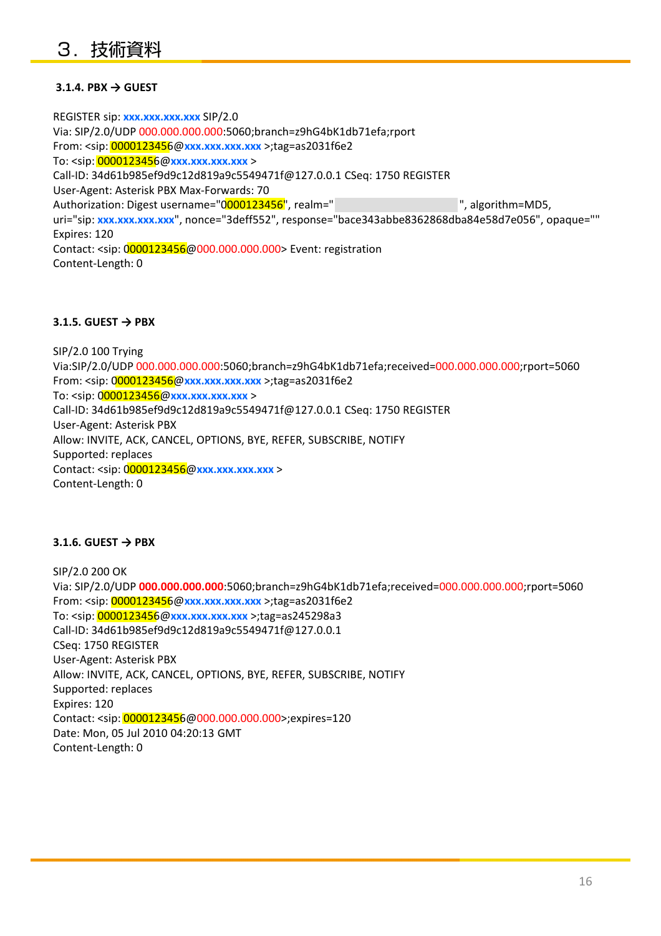#### **3.1.4. PBX → GUEST**

REGISTER sip: **xxx.xxx.xxx.xxx** SIP/2.0 Via: SIP/2.0/UDP 000.000.000.000:5060;branch=z9hG4bK1db71efa;rport From: <sip: 0000123456@**xxx.xxx.xxx.xxx** >;tag=as2031f6e2 To: <sip: 0000123456@**xxx.xxx.xxx.xxx** > Call-ID: 34d61b985ef9d9c12d819a9c5549471f@127.0.0.1 CSeq: 1750 REGISTER User-Agent: Asterisk PBX Max-Forwards: 70 Authorization: Digest username="0000123456", realm=" *voices and partition* and partition=MD5, uri="sip: **xxx.xxx.xxx.xxx**", nonce="3deff552", response="bace343abbe8362868dba84e58d7e056", opaque="" Expires: 120 Contact: <sip: 0000123456@000.000.000.000> Event: registration Content-Length: 0

#### **3.1.5. GUEST → PBX**

SIP/2.0 100 Trying Via:SIP/2.0/UDP 000.000.000.000:5060;branch=z9hG4bK1db71efa;received=000.000.000.000;rport=5060 From: <sip: 0000123456@**xxx.xxx.xxx.xxx** >;tag=as2031f6e2 To: <sip: 0000123456@**xxx.xxx.xxx.xxx** > Call-ID: 34d61b985ef9d9c12d819a9c5549471f@127.0.0.1 CSeq: 1750 REGISTER User-Agent: Asterisk PBX Allow: INVITE, ACK, CANCEL, OPTIONS, BYE, REFER, SUBSCRIBE, NOTIFY Supported: replaces Contact: <sip: 0000123456@**xxx.xxx.xxx.xxx** > Content-Length: 0

#### **3.1.6. GUEST → PBX**

SIP/2.0 200 OK Via: SIP/2.0/UDP **000.000.000.000**:5060;branch=z9hG4bK1db71efa;received=000.000.000.000;rport=5060 From: <sip: 0000123456@**xxx.xxx.xxx.xxx** >;tag=as2031f6e2 To: <sip: 0000123456@**xxx.xxx.xxx.xxx** >;tag=as245298a3 Call-ID: 34d61b985ef9d9c12d819a9c5549471f@127.0.0.1 CSeq: 1750 REGISTER User-Agent: Asterisk PBX Allow: INVITE, ACK, CANCEL, OPTIONS, BYE, REFER, SUBSCRIBE, NOTIFY Supported: replaces Expires: 120 Contact: <sip: 0000123456@000.000.000.000>;expires=120 Date: Mon, 05 Jul 2010 04:20:13 GMT Content-Length: 0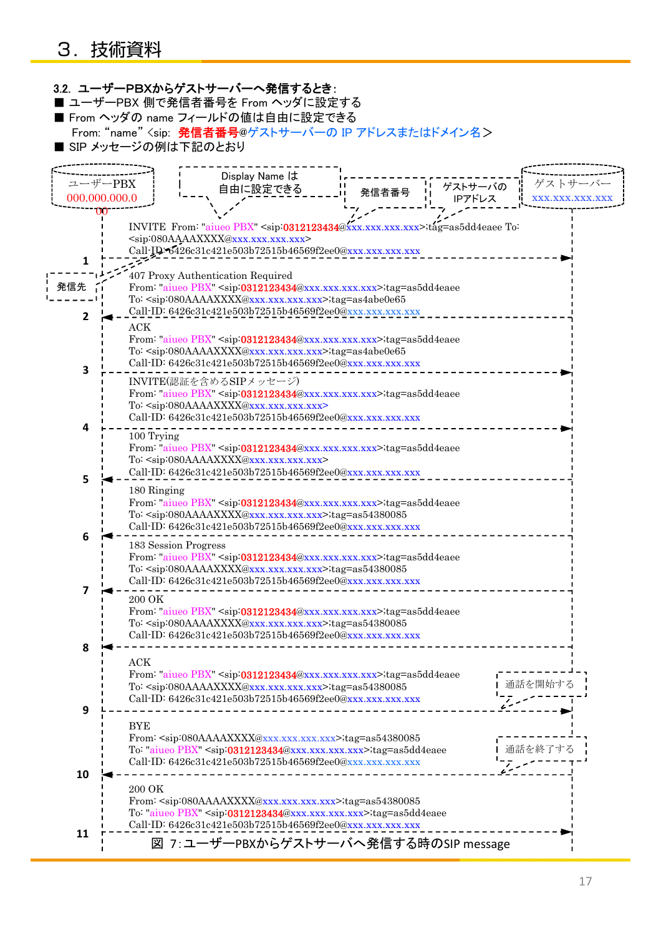|               | 3.2. ユーザーPBXからゲストサーバーへ発信するとき:<br>■ ユーザーPBX 側で発信者番号を From ヘッダに設定する  |                                                                         |                |                                                                                                                                                                                               |       |         |        |                   |
|---------------|--------------------------------------------------------------------|-------------------------------------------------------------------------|----------------|-----------------------------------------------------------------------------------------------------------------------------------------------------------------------------------------------|-------|---------|--------|-------------------|
|               | ■ From ヘッダの name フィールドの値は自由に設定できる                                  |                                                                         |                |                                                                                                                                                                                               |       |         |        |                   |
|               | From: "name" <sip: ip="" アドレスまたはドメイン名="" 発信者番号@ゲストサーバーの=""></sip:> |                                                                         |                |                                                                                                                                                                                               |       |         |        |                   |
|               | ■ SIP メッセージの例は下記のとおり                                               |                                                                         |                |                                                                                                                                                                                               |       |         |        |                   |
|               |                                                                    |                                                                         |                |                                                                                                                                                                                               |       |         |        |                   |
|               |                                                                    |                                                                         | Display Name は |                                                                                                                                                                                               |       |         |        |                   |
| ユーザーPBX       |                                                                    |                                                                         | 自由に設定できる       |                                                                                                                                                                                               | 発信者番号 | ゲストサーバの |        | ゲストサーバー           |
| 000.000.000.0 |                                                                    |                                                                         |                |                                                                                                                                                                                               |       | IPアドレス  |        | XXX, XXX, XXX, XX |
|               |                                                                    |                                                                         |                |                                                                                                                                                                                               |       |         |        |                   |
|               |                                                                    |                                                                         |                | INVITE From: "aiueo PBX" <sip:0312123434@xxx.xxx.xxx.xxx>;tag=as5dd4eaee To:</sip:0312123434@xxx.xxx.xxx.xxx>                                                                                 |       |         |        |                   |
|               |                                                                    | <sip:080aaaaxxxx@xxx.xxx.xxx.xxx></sip:080aaaaxxxx@xxx.xxx.xxx.xxx>     |                |                                                                                                                                                                                               |       |         |        |                   |
|               |                                                                    |                                                                         |                | Call-ID:6426c31c421e503b72515b46569f2ee0@xxx.xxx.xxx.xxx                                                                                                                                      |       |         |        |                   |
|               |                                                                    | 407 Proxy Authentication Required                                       |                |                                                                                                                                                                                               |       |         |        |                   |
| 発信先           |                                                                    |                                                                         |                | From: "aiueo PBX" <sip:0312123434@xxx.xxx.xxx.xxx>;tag=as5dd4eaee</sip:0312123434@xxx.xxx.xxx.xxx>                                                                                            |       |         |        |                   |
|               |                                                                    |                                                                         |                | To: <sip:080aaaaxxxx@xxx.xxx.xxx.xxx>;tag=as4abe0e65</sip:080aaaaxxxx@xxx.xxx.xxx.xxx>                                                                                                        |       |         |        |                   |
| 2             |                                                                    |                                                                         |                | Call-ID: 6426c31c421e503b72515b46569f2ee0@xxx.xxx.xxx.xxx                                                                                                                                     |       |         |        |                   |
|               | $\rm{ACK}$                                                         |                                                                         |                |                                                                                                                                                                                               |       |         |        |                   |
|               |                                                                    |                                                                         |                | From: "aiueo PBX" <sip:0312123434@xxx.xxx.xxx.xxx>;tag=as5dd4eaee<br/>To: <sip:080aaaaxxxx@xxx.xxx.xxx.xxx>;tag=as4abe0e65</sip:080aaaaxxxx@xxx.xxx.xxx.xxx></sip:0312123434@xxx.xxx.xxx.xxx> |       |         |        |                   |
|               |                                                                    |                                                                         |                | Call-ID: 6426c31c421e503b72515b46569f2ee0@xxx.xxx.xxx.xxx                                                                                                                                     |       |         |        |                   |
| 3             | INVITE(認証を含めるSIPメッセージ)                                             |                                                                         |                |                                                                                                                                                                                               |       |         |        |                   |
|               |                                                                    |                                                                         |                | From: "aiueo PBX" <sip:0312123434@xxx.xxx.xxx.xxx>;tag=as5dd4eaee</sip:0312123434@xxx.xxx.xxx.xxx>                                                                                            |       |         |        |                   |
|               |                                                                    | To: <sip:080aaaaxxxx@xxx.xxx.xxx.xxx></sip:080aaaaxxxx@xxx.xxx.xxx.xxx> |                |                                                                                                                                                                                               |       |         |        |                   |
|               |                                                                    |                                                                         |                | Call-ID: 6426c31c421e503b72515b46569f2ee0@xxx.xxx.xxx.xxx                                                                                                                                     |       |         |        |                   |
| 4             | 100 Trying                                                         |                                                                         |                |                                                                                                                                                                                               |       |         |        |                   |
|               |                                                                    |                                                                         |                | From: "aiueo PBX" <sip:0312123434@xxx.xxx.xxx.xxx>;tag=as5dd4eaee</sip:0312123434@xxx.xxx.xxx.xxx>                                                                                            |       |         |        |                   |
|               |                                                                    | To: <sip:080aaaaxxxx@xxx.xxx.xxx.xxx></sip:080aaaaxxxx@xxx.xxx.xxx.xxx> |                |                                                                                                                                                                                               |       |         |        |                   |
| 5             |                                                                    |                                                                         |                | Call-ID: 6426c31c421e503b72515b46569f2ee0@xxx.xxx.xxx.xxx                                                                                                                                     |       |         |        |                   |
|               | 180 Ringing                                                        |                                                                         |                |                                                                                                                                                                                               |       |         |        |                   |
|               |                                                                    |                                                                         |                | From: "aiueo PBX" <sip:0312123434@xxx.xxx.xxx.xxx>;tag=as5dd4eaee</sip:0312123434@xxx.xxx.xxx.xxx>                                                                                            |       |         |        |                   |
|               |                                                                    |                                                                         |                | To: <sip:080aaaaxxxx@xxx.xxx.xxx.xxx>;tag=as54380085<br/>Call-ID: 6426c31c421e503b72515b46569f2ee0@xxx.xxx.xxx.xxx</sip:080aaaaxxxx@xxx.xxx.xxx.xxx>                                          |       |         |        |                   |
| 6             |                                                                    |                                                                         |                |                                                                                                                                                                                               |       |         |        |                   |
|               | 183 Session Progress                                               |                                                                         |                | From: "aiueo PBX" <sip:0312123434@xxx.xxx.xxx.xxx>;tag=as5dd4eaee</sip:0312123434@xxx.xxx.xxx.xxx>                                                                                            |       |         |        |                   |
|               |                                                                    |                                                                         |                | To: <sip:080aaaaxxxx@xxx.xxx.xxx.xxx>;tag=as54380085</sip:080aaaaxxxx@xxx.xxx.xxx.xxx>                                                                                                        |       |         |        |                   |
|               |                                                                    |                                                                         |                | Call-ID: 6426c31c421e503b72515b46569f2ee0@xxx.xxx.xxx.xxx                                                                                                                                     |       |         |        |                   |
|               | 200 OK                                                             |                                                                         |                |                                                                                                                                                                                               |       |         |        |                   |
|               |                                                                    |                                                                         |                | From: "aiueo PBX" <sip:0312123434@xxx.xxx.xxx.xxx>;tag=as5dd4eaee</sip:0312123434@xxx.xxx.xxx.xxx>                                                                                            |       |         |        |                   |
|               |                                                                    |                                                                         |                | To: <sip:080aaaaxxxx@xxx.xxx.xxx.xxx>;tag=as54380085</sip:080aaaaxxxx@xxx.xxx.xxx.xxx>                                                                                                        |       |         |        |                   |
|               |                                                                    |                                                                         |                | Call-ID: 6426c31c421e503b72515b46569f2ee0@xxx.xxx.xxx.xxx                                                                                                                                     |       |         |        |                   |
| 8             | ACK                                                                |                                                                         |                |                                                                                                                                                                                               |       |         |        |                   |
|               |                                                                    |                                                                         |                | From: "aiueo PBX" <sip:0312123434@xxx.xxx.xxx.xxx>;tag=as5dd4eaee</sip:0312123434@xxx.xxx.xxx.xxx>                                                                                            |       |         |        |                   |
|               |                                                                    |                                                                         |                | To: <sip:080aaaaxxxx@xxx.xxx.xxx.xxx>;tag=as54380085</sip:080aaaaxxxx@xxx.xxx.xxx.xxx>                                                                                                        |       |         | 通話を開始す |                   |
|               |                                                                    |                                                                         |                | Call-ID: 6426c31c421e503b72515b46569f2ee0@xxx.xxx.xxx.xxx                                                                                                                                     |       |         |        |                   |
| 9             |                                                                    |                                                                         |                |                                                                                                                                                                                               |       |         |        |                   |
|               | BYE                                                                |                                                                         |                |                                                                                                                                                                                               |       |         |        |                   |
|               |                                                                    |                                                                         |                | From: <sip:080aaaaxxxx@xxx.xxx.xxx.xxx>;tag=as54380085<br/>To: "aiueo PBX" <sip:0312123434@xxx.xxx.xxx.xxx>;tag=as5dd4eaee</sip:0312123434@xxx.xxx.xxx.xxx></sip:080aaaaxxxx@xxx.xxx.xxx.xxx> |       |         | 通話を終了す |                   |
|               |                                                                    |                                                                         |                | Call-ID: 6426c31c421e503b72515b46569f2ee0@xxx.xxx.xxx.xxx                                                                                                                                     |       |         |        |                   |
| 10            |                                                                    |                                                                         |                |                                                                                                                                                                                               |       |         |        |                   |
|               | 200 OK                                                             |                                                                         |                |                                                                                                                                                                                               |       |         |        |                   |
|               |                                                                    |                                                                         |                | From: <sip:080aaaaxxxx@xxx.xxx.xxx.xxx>;tag=as54380085</sip:080aaaaxxxx@xxx.xxx.xxx.xxx>                                                                                                      |       |         |        |                   |
|               |                                                                    |                                                                         |                | To: "aiueo PBX" <sip:0312123434@xxx.xxx.xxx.xxx>;tag=as5dd4eaee</sip:0312123434@xxx.xxx.xxx.xxx>                                                                                              |       |         |        |                   |
| 11            |                                                                    |                                                                         |                | Call-ID: 6426c31c421e503b72515b46569f2ee0@xxx.xxx.xxx.xxx                                                                                                                                     |       |         |        |                   |
|               |                                                                    |                                                                         |                | 図 7:ユーザーPBXからゲストサーバへ発信する時のSIP message                                                                                                                                                         |       |         |        |                   |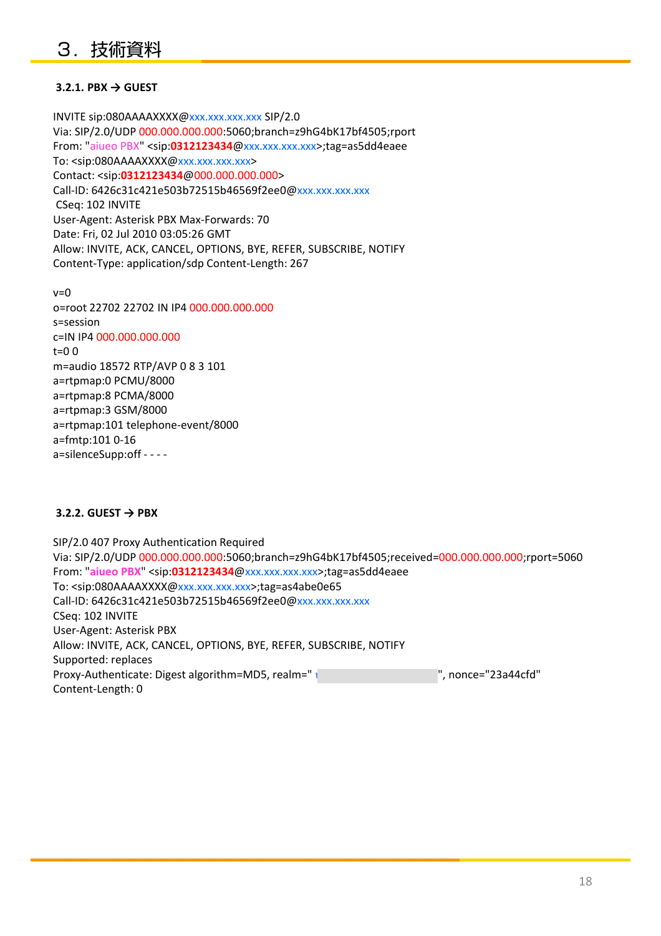#### **3.2.1. PBX → GUEST**

INVITE sip:080AAAAXXXX@xxx.xxx.xxx.xxx SIP/2.0 Via: SIP/2.0/UDP 000.000.000.000:5060;branch=z9hG4bK17bf4505;rport From: "aiueo PBX" <sip:0312123434@xxx.xxx.xxx.xxx>;tag=as5dd4eaee To: <sip:080AAAAXXXX@xxx.xxx.xxx.xxx> Contact: <sip:**0312123434**@000.000.000.000> Call-ID: 6426c31c421e503b72515b46569f2ee0@xxx.xxx.xxx.xxx CSeq: 102 INVITE User-Agent: Asterisk PBX Max-Forwards: 70 Date: Fri, 02 Jul 2010 03:05:26 GMT Allow: INVITE, ACK, CANCEL, OPTIONS, BYE, REFER, SUBSCRIBE, NOTIFY Content-Type: application/sdp Content-Length: 267

 $v=0$ o=root 22702 22702 IN IP4 000.000.000.000 s=session c=IN IP4 000.000.000.000 t=0 0 m=audio 18572 RTP/AVP 0 8 3 101 a=rtpmap:0 PCMU/8000 a=rtpmap:8 PCMA/8000 a=rtpmap:3 GSM/8000 a=rtpmap:101 telephone-event/8000 a=fmtp:101 0-16 a=silenceSupp:off - - - -

#### **3.2.2. GUEST → PBX**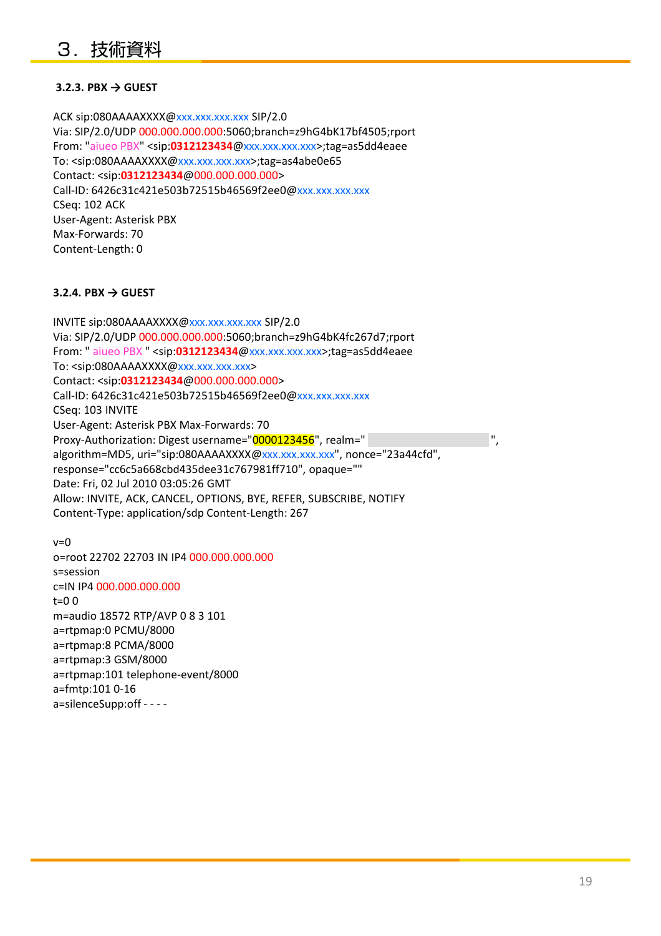#### **3.2.3. PBX → GUEST**

ACK sip:080AAAAXXXX@xxx.xxx.xxx.xxx SIP/2.0 Via: SIP/2.0/UDP 000.000.000.000:5060;branch=z9hG4bK17bf4505;rport From: "aiueo PBX" <sip: 0312123434@xxx.xxx.xxx.xxx>;tag=as5dd4eaee To: <sip:080AAAAXXXX@xxx.xxx.xxx.xxx>;tag=as4abe0e65 Contact: <sip:**0312123434**@000.000.000.000> Call-ID: 6426c31c421e503b72515b46569f2ee0@xxx.xxx.xxx.xxx CSeq: 102 ACK User-Agent: Asterisk PBX Max-Forwards: 70 Content-Length: 0

#### **3.2.4. PBX → GUEST**

INVITE sip:080AAAAXXXX@xxx.xxx.xxx.xxx SIP/2.0 Via: SIP/2.0/UDP 000.000.000.000:5060;branch=z9hG4bK4fc267d7;rport From: " aiueo PBX " <sip:**0312123434**@xxx.xxx.xxx.xxx>;tag=as5dd4eaee To: <sip:080AAAAXXXX@xxx.xxx.xxx.xxx> Contact: <sip:**0312123434**@000.000.000.000> Call-ID: 6426c31c421e503b72515b46569f2ee0@xxx.xxx.xxx.xxx CSeq: 103 INVITE User-Agent: Asterisk PBX Max-Forwards: 70 Proxy-Authorization: Digest username="0000123456", realm=" algorithm=MD5, uri="sip:080AAAAXXXX@xxx.xxx.xxx.xxx", nonce="23a44cfd", response="cc6c5a668cbd435dee31c767981ff710", opaque="" Date: Fri, 02 Jul 2010 03:05:26 GMT Allow: INVITE, ACK, CANCEL, OPTIONS, BYE, REFER, SUBSCRIBE, NOTIFY Content-Type: application/sdp Content-Length: 267

 $v=0$ o=root 22702 22703 IN IP4 000.000.000.000 s=session c=IN IP4 000.000.000.000 t=0 0 m=audio 18572 RTP/AVP 0 8 3 101 a=rtpmap:0 PCMU/8000 a=rtpmap:8 PCMA/8000 a=rtpmap:3 GSM/8000 a=rtpmap:101 telephone-event/8000 a=fmtp:101 0-16 a=silenceSupp:off - - - -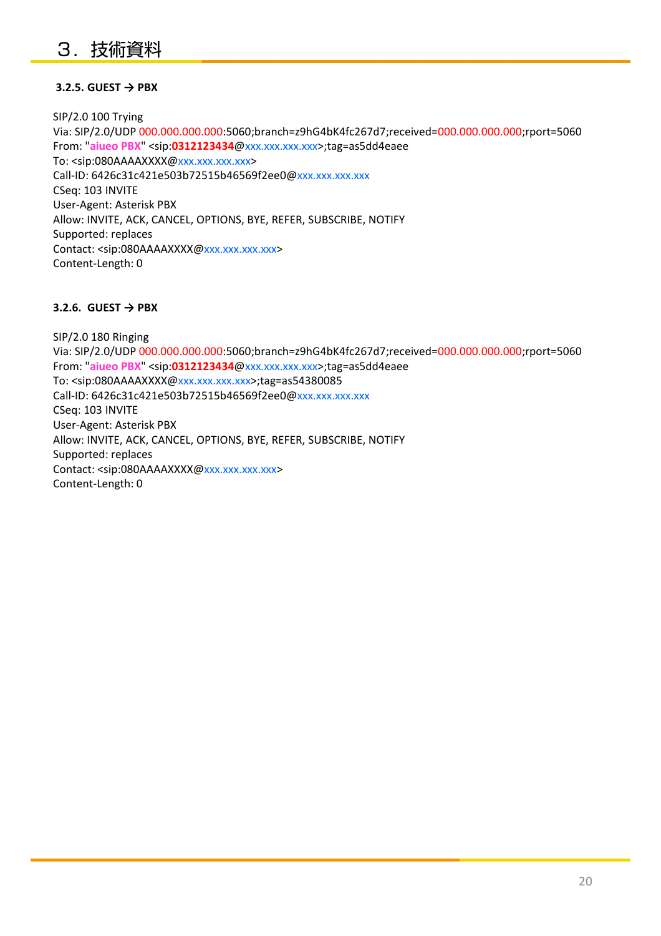#### **3.2.5. GUEST → PBX**

SIP/2.0 100 Trying Via: SIP/2.0/UDP 000.000.000.000:5060;branch=z9hG4bK4fc267d7;received=000.000.000.000;rport=5060 From: " **aiueo PBX**" <sip: **0312123434** @xxx.xxx.xxx.xxx xxx.xxx.xxx.xxx>;tag=as5dd4eaee >;tag=as5dd4eaee To: <sip:080AAAAXXXX@xxx.xxx.xxx.xxx> Call-ID: 6426c31c421e503b72515b46569f2ee0@xxx.xxx.xxx.xxx CSeq: 103 INVITE User-Agent: Asterisk PBX Allow: INVITE, ACK, CANCEL, OPTIONS, BYE, REFER, SUBSCRIBE, NOTIFY Supported: replaces Contact: <sip:080AAAAXXXX@xxx.xxx.xxx.xxx> Content-Length: 0

#### **3.2.6. GUEST → PBX**

SIP/2.0 180 Ringing Via: SIP/2.0/UDP 000.000.000.000:5060;branch=z9hG4bK4fc267d7;received=000.000.000.000;rport=5060 From: " **aiueo PBX**" <sip: **0312123434** @xxx.xxx.xxx.xxx xxx.xxx.xxx.xxx>;tag=as5dd4eaee >;tag=as5dd4eaee To: <sip:080AAAAXXXX@xxx.xxx.xxx.xxx>;tag=as54380085 Call-ID: 6426c31c421e503b72515b46569f2ee0@xxx.xxx.xxx.xxx CSeq: 103 INVITE User-Agent: Asterisk PBX Allow: INVITE, ACK, CANCEL, OPTIONS, BYE, REFER, SUBSCRIBE, NOTIFY Supported: replaces Contact: <sip:080AAAAXXXX@xxx.xxx.xxx.xxx> Content-Length: 0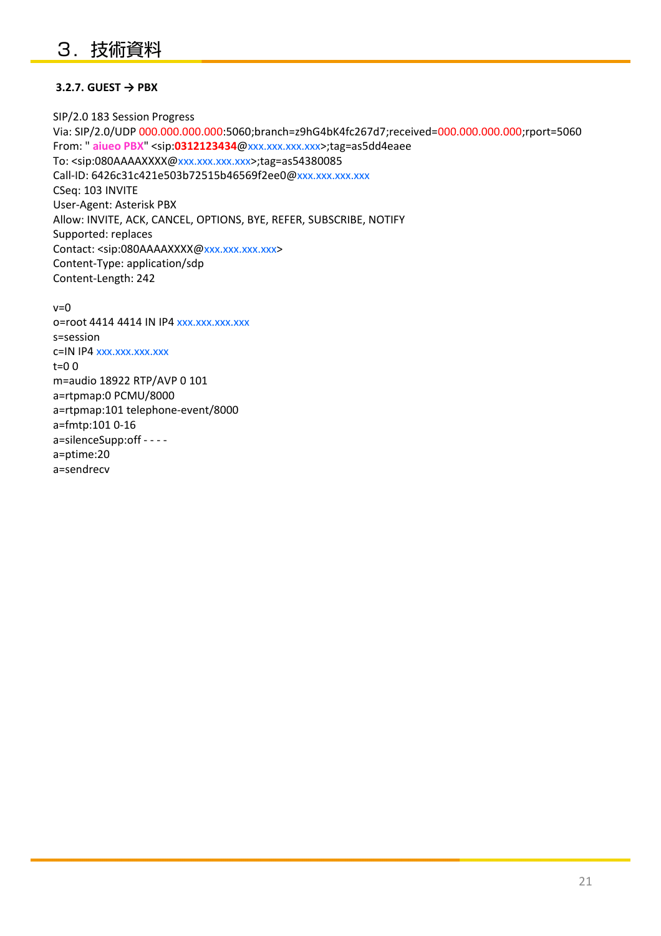#### **3.2.7. GUEST → PBX**

SIP/2.0 183 Session Progress Via: SIP/2.0/UDP 000.000.000.000:5060;branch=z9hG4bK4fc267d7;received=000.000.000.000;rport=5060 From: " **aiueo PBX**" <sip: **0312123434** @xxx.xxx.xxx.xxx xxx.xxx.xxx.xxx>;tag=as5dd4eaee >;tag=as5dd4eaee To: <sip:080AAAAXXXX@xxx.xxx.xxx.xxx>;tag=as54380085 Call-ID: 6426c31c421e503b72515b46569f2ee0@xxx.xxx.xxx.xxx CSeq: 103 INVITE User-Agent: Asterisk PBX Allow: INVITE, ACK, CANCEL, OPTIONS, BYE, REFER, SUBSCRIBE, NOTIFY Supported: replaces Contact: <sip:080AAAAXXXX@xxx.xxx.xxx.xxx> Content-Type: application/sdp Content-Length: 242

v=0 o=root 4414 4414 IN IP4 xxx.xxx.xxx.xxx s=session c=IN IP4 xxx.xxx.xxx.xxx  $t=0$   $\Omega$ m=audio 18922 RTP/AVP 0 101 a=rtpmap:0 PCMU/8000 a=rtpmap:101 telephone-event/8000 a=fmtp:101 0-16 a=silenceSupp:off - - - a=ptime:20 a=sendrecv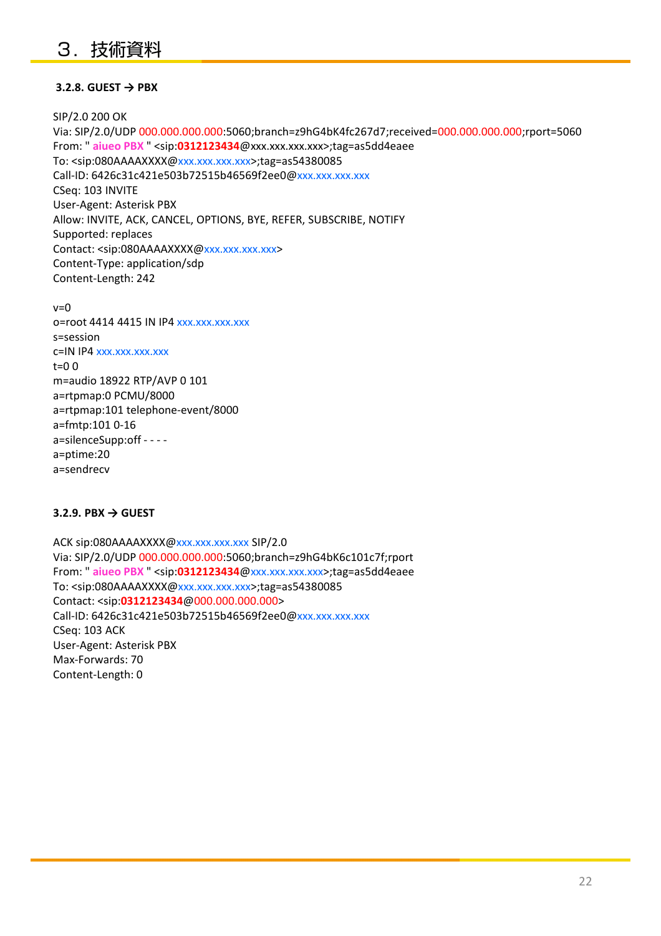## 3.技術資料

#### **3.2.8. GUEST → PBX**

SIP/2.0 200 OK Via: SIP/2.0/UDP 000.000.000.000:5060;branch=z9hG4bK4fc267d7;received=000.000.000.000;rport=5060 From: " **aiueo PBX** " <sip: **0312123434** @xxx.xxx.xxx.xxx>;tag=as5dd4eaee To: <sip:080AAAAXXXX@xxx.xxx.xxx.xxx>;tag=as54380085 Call-ID: 6426c31c421e503b72515b46569f2ee0@xxx.xxx.xxx.xxx CSeq: 103 INVITE User-Agent: Asterisk PBX Allow: INVITE, ACK, CANCEL, OPTIONS, BYE, REFER, SUBSCRIBE, NOTIFY Supported: replaces Contact: <sip:080AAAAXXXX@xxx.xxx.xxx.xxx> Content-Type: application/sdp Content-Length: 242

 $v=0$ o=root 4414 4415 IN IP4 xxx.xxx.xxx.xxx s=session c=IN IP4 xxx.xxx.xxx.xxx  $t=0$   $\Omega$ m=audio 18922 RTP/AVP 0 101 a=rtpmap:0 PCMU/8000 a=rtpmap:101 telephone-event/8000 a=fmtp:101 0-16 a=silenceSupp:off - - - a=ptime:20 a=sendrecv

#### **3.2.9. PBX → GUEST**

ACK sip:080AAAAXXXX@xxx.xxx.xxx.xxx SIP/2.0 Via: SIP/2.0/UDP 000.000.000.000:5060;branch=z9hG4bK6c101c7f;rport From: " **aiueo PBX** " <sip: **0312123434** @xxx.xxx.xxx.xxx xxx.xxx.xxx.xxx>;tag=as5dd4eaee >;tag=as5dd4eaee To: <sip:080AAAAXXXX@xxx.xxx.xxx.xxx>;tag=as54380085 Contact: <sip:**0312123434**@000.000.000.000> Call-ID: 6426c31c421e503b72515b46569f2ee0@xxx.xxx.xxx.xxx CSeq: 103 ACK User-Agent: Asterisk PBX Max-Forwards: 70 Content-Length: 0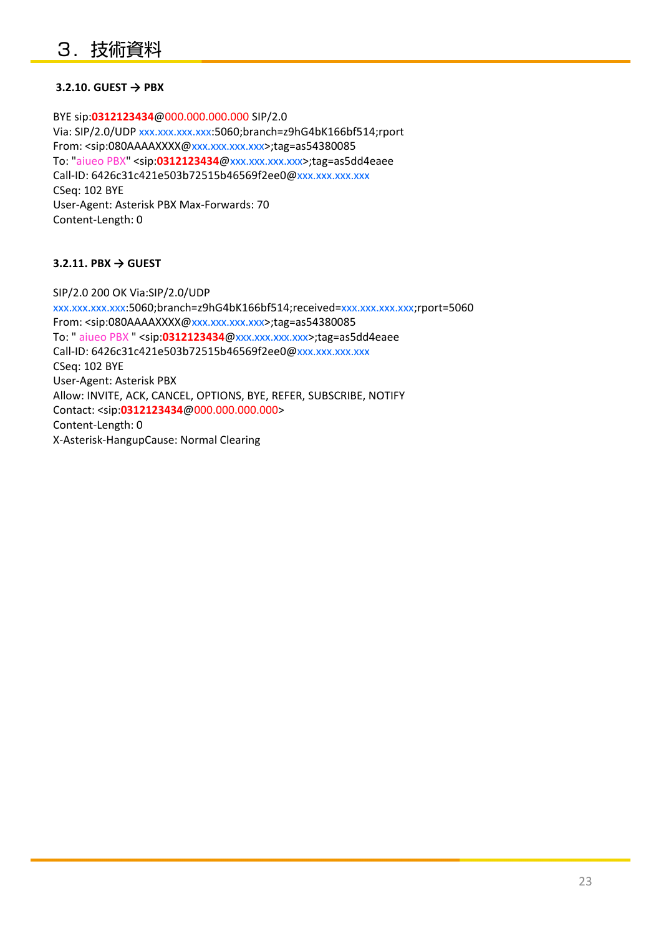#### **3.2.10. GUEST → PBX**

BYE sip:**0312123434**@000.000.000.000 SIP/2.0 Via: SIP/2.0/UDP xxx.xxx.xxx.xxx:5060;branch=z9hG4bK166bf514;rport From: <sip:080AAAAXXXX@xxx.xxx.xxx.xxx>;tag=as54380085 To: "aiueo PBX" <sip:**0312123434**@xxx.xxx.xxx.xxx>;tag=as5dd4eaee Call-ID: 6426c31c421e503b72515b46569f2ee0@xxx.xxx.xxx.xxx CSeq: 102 BYE User-Agent: Asterisk PBX Max-Forwards: 70 Content-Length: 0

#### **3.2.11. PBX → GUEST**

SIP/2.0 200 OK Via:SIP/2.0/UDP xxx.xxx.xxx.xxx:5060;branch=z9hG4bK166bf514;received=xxx.xxx.xxx.xxx;rport=5060 From: <sip:080AAAAXXXX@xxx.xxx.xxx.xxx>;tag=as54380085 To: " aiueo PBX " <sip:**0312123434**@xxx.xxx.xxx.xxx>;tag=as5dd4eaee Call-ID: 6426c31c421e503b72515b46569f2ee0@xxx.xxx.xxx.xxx CSeq: 102 BYE User-Agent: Asterisk PBX Allow: INVITE, ACK, CANCEL, OPTIONS, BYE, REFER, SUBSCRIBE, NOTIFY Contact: <sip:**0312123434**@000.000.000.000> Content-Length: 0 X-Asterisk-HangupCause: Normal Clearing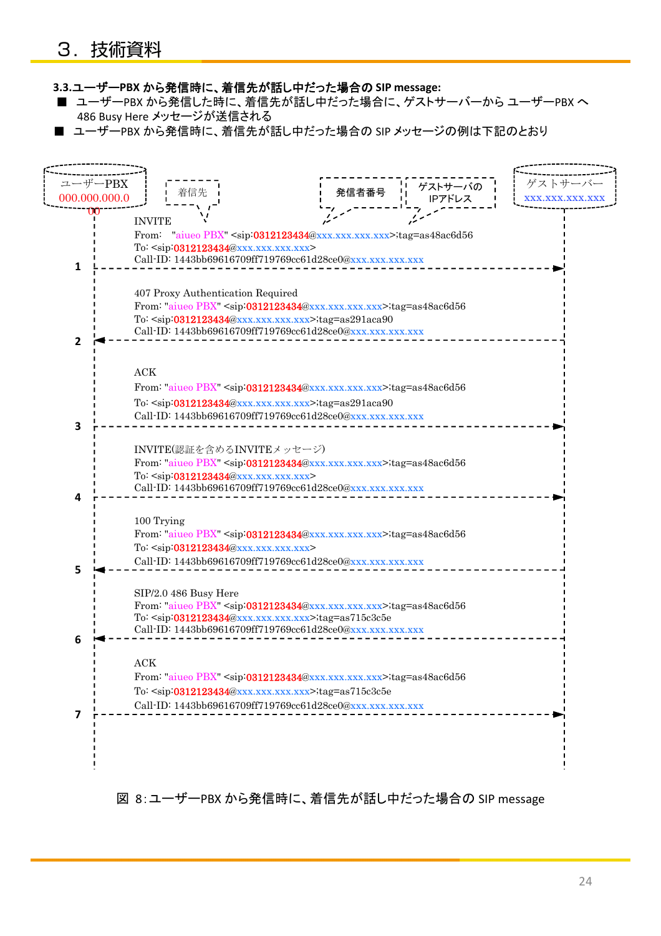#### **3.3.**ユーザー**PBX** から発信時に、着信先が話し中だった場合の **SIP message:**

- ユーザーPBX から発信した時に、着信先が話し中だった場合に、ゲストサーバーから ユーザーPBX へ 486 Busy Here メッセージが送信される
- ユーザーPBX から発信時に、着信先が話し中だった場合の SIP メッセージの例は下記のとおり



図 8:ユーザーPBX から発信時に、着信先が話し中だった場合の SIP message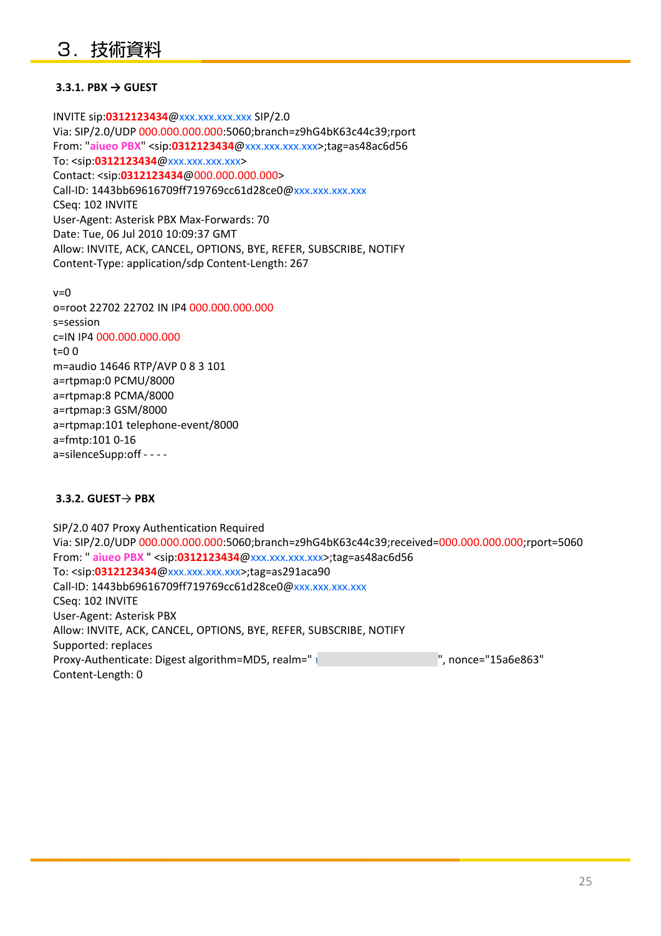#### **3.3.1. PBX → GUEST**

INVITE sip:**0312123434**@xxx.xxx.xxx.xxx SIP/2.0 Via: SIP/2.0/UDP 000.000.000.000:5060;branch=z9hG4bK63c44c39;rport From: " **aiueo PBX**" <sip: **0312123434** @xxx.xxx.xxx.xxx xxx.xxx.xxx.xxx>;tag=as48ac6d56 >;tag=as48ac6d56 To: <sip:**0312123434**@xxx.xxx.xxx.xxx> Contact: <sip:**0312123434**@000.000.000.000> Call-ID: 1443bb69616709ff719769cc61d28ce0@xxx.xxx.xxx.xxx CSeq: 102 INVITE User-Agent: Asterisk PBX Max-Forwards: 70 Date: Tue, 06 Jul 2010 10:09:37 GMT Allow: INVITE, ACK, CANCEL, OPTIONS, BYE, REFER, SUBSCRIBE, NOTIFY Content-Type: application/sdp Content-Length: 267

v=0 o=root 22702 22702 IN IP4 000.000.000.000 s=session c=IN IP4 000.000.000.000 t=0 0 m=audio 14646 RTP/AVP 0 8 3 101 a=rtpmap:0 PCMU/8000 a=rtpmap:8 PCMA/8000 a=rtpmap:3 GSM/8000 a=rtpmap:101 telephone-event/8000 a=fmtp:101 0-16 a=silenceSupp:off - - - -

#### **3.3.2. GUEST**→ **PBX**

SIP/2.0 407 Proxy Authentication Required Via: SIP/2.0/UDP 000.000.000.000:5060;branch=z9hG4bK63c44c39;received=000.000.000.000;rport=5060 From: " **aiueo PBX** " <sip:**0312123434**@xxx.xxx.xxx.xxx>;tag=as48ac6d56 To: <sip:**0312123434**@xxx.xxx.xxx.xxx>;tag=as291aca90 Call-ID: 1443bb69616709ff719769cc61d28ce0@xxx.xxx.xxx.xxx CSeq: 102 INVITE User-Agent: Asterisk PBX Allow: INVITE, ACK, CANCEL, OPTIONS, BYE, REFER, SUBSCRIBE, NOTIFY Supported: replaces Proxy-Authenticate: Digest algorithm=MD5, realm=" *i*ology and all phonons ="15a6e863" Content-Length: 0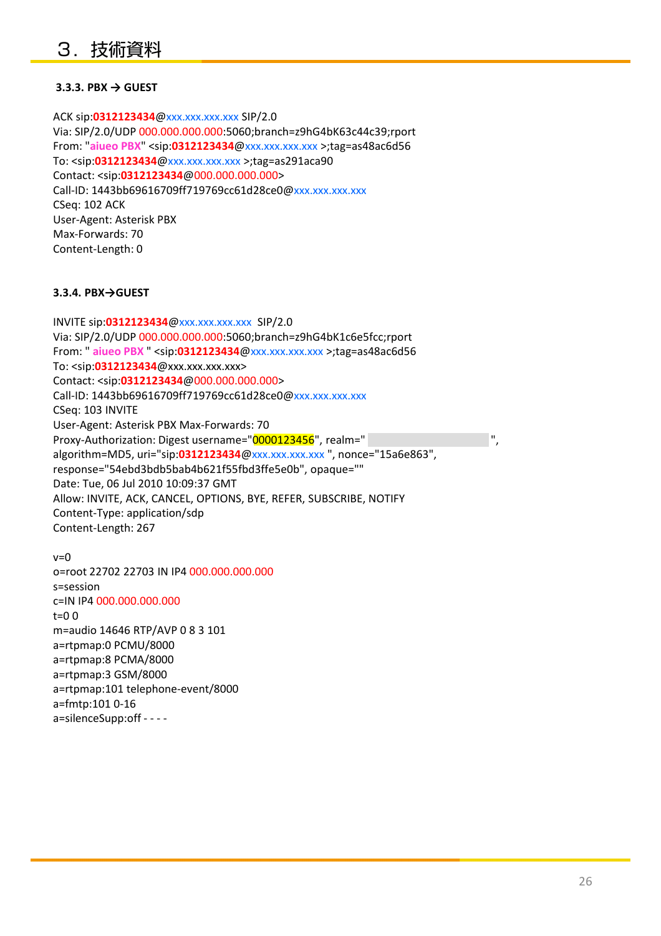#### **3.3.3. PBX → GUEST**

ACK sip:**0312123434**@xxx.xxx.xxx.xxx SIP/2.0 Via: SIP/2.0/UDP 000.000.000.000:5060;branch=z9hG4bK63c44c39;rport From: " **aiueo PBX**" <sip: **0312123434** @xxx.xxx.xxx.xxx xxx.xxx.xxx.xxx >;tag=as48ac6d56 To: <sip:**0312123434**@xxx.xxx.xxx.xxx >;tag=as291aca90 Contact: <sip:**0312123434**@000.000.000.000> Call-ID: 1443bb69616709ff719769cc61d28ce0@xxx.xxx.xxx.xxx CSeq: 102 ACK User-Agent: Asterisk PBX Max-Forwards: 70 Content-Length: 0

#### **3.3.4. PBX→GUEST**

INVITE sip:**0312123434**@xxx.xxx.xxx.xxx SIP/2.0 Via: SIP/2.0/UDP 000.000.000.000:5060;branch=z9hG4bK1c6e5fcc;rport From: " **aiueo PBX** " <sip:**0312123434**@xxx.xxx.xxx.xxx >;tag=as48ac6d56 To: <sip:**0312123434**@xxx.xxx.xxx.xxx> Contact: <sip:**0312123434**@000.000.000.000> Call-ID: 1443bb69616709ff719769cc61d28ce0@xxx.xxx.xxx.xxx CSeq: 103 INVITE User-Agent: Asterisk PBX Max-Forwards: 70 Proxy-Authorization: Digest username="0000123456", realm=" algorithm=MD5, uri="sip:**0312123434**@xxx.xxx.xxx.xxx ", nonce="15a6e863", response="54ebd3bdb5bab4b621f55fbd3ffe5e0b", opaque="" Date: Tue, 06 Jul 2010 10:09:37 GMT Allow: INVITE, ACK, CANCEL, OPTIONS, BYE, REFER, SUBSCRIBE, NOTIFY Content-Type: application/sdp Content-Length: 267

 $v=0$ o=root 22702 22703 IN IP4 000.000.000.000 s=session c=IN IP4 000.000.000.000  $t=0$   $\Omega$ m=audio 14646 RTP/AVP 0 8 3 101 a=rtpmap:0 PCMU/8000 a=rtpmap:8 PCMA/8000 a=rtpmap:3 GSM/8000 a=rtpmap:101 telephone-event/8000 a=fmtp:101 0-16 a=silenceSupp:off - - - -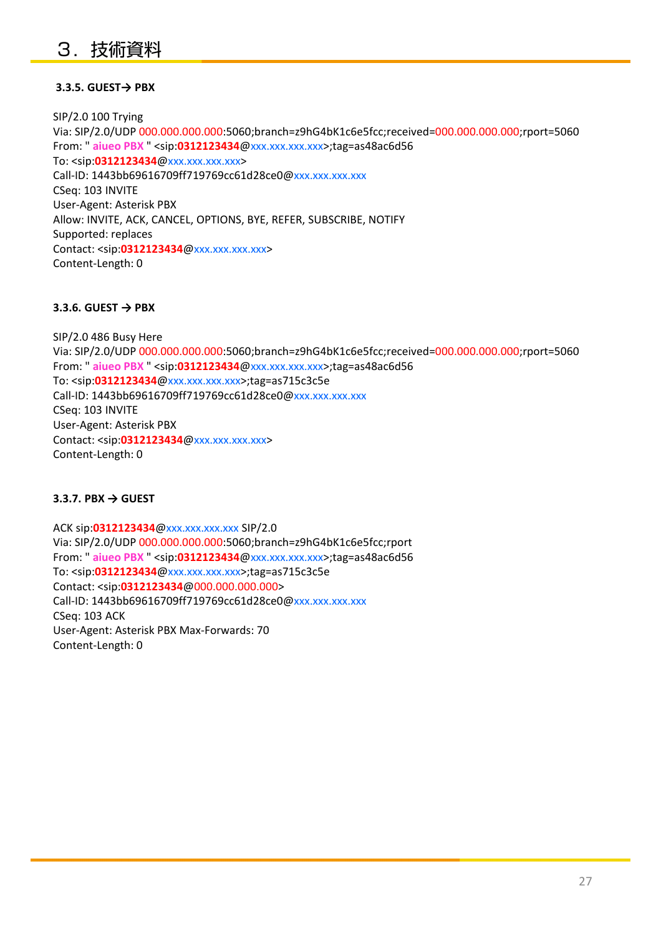#### **3.3.5. GUEST→ PBX**

SIP/2.0 100 Trying Via: SIP/2.0/UDP 000.000.000.000:5060;branch=z9hG4bK1c6e5fcc;received=000.000.000.000;rport=5060 From: " **aiueo PBX** " <sip: **0312123434** @xxx.xxx.xxx.xxx xxx.xxx.xxx.xxx>;tag=as48ac6d56 >;tag=as48ac6d56 To: <sip:**0312123434**@xxx.xxx.xxx.xxx> Call-ID: 1443bb69616709ff719769cc61d28ce0@xxx.xxx.xxx.xxx CSeq: 103 INVITE User-Agent: Asterisk PBX Allow: INVITE, ACK, CANCEL, OPTIONS, BYE, REFER, SUBSCRIBE, NOTIFY Supported: replaces Contact: <sip:0312123434@xxx.xxx.xxx.xxx> Content-Length: 0

#### **3.3.6. GUEST → PBX**

SIP/2.0 486 Busy Here Via: SIP/2.0/UDP 000.000.000.000:5060;branch=z9hG4bK1c6e5fcc;received=000.000.000.000;rport=5060 From: " **aiueo PBX** " <sip: **0312123434** @xxx.xxx.xxx.xxx xxx.xxx.xxx.xxx>;tag=as48ac6d56 >;tag=as48ac6d56 To: <sip:**0312123434**@xxx.xxx.xxx.xxx>;tag=as715c3c5e Call-ID: 1443bb69616709ff719769cc61d28ce0@xxx.xxx.xxx.xxx CSeq: 103 INVITE User-Agent: Asterisk PBX Contact: <sip:0312123434@xxx.xxx.xxx.xxx> Content-Length: 0

#### **3.3.7. PBX → GUEST**

ACK sip:**0312123434**@xxx.xxx.xxx.xxx SIP/2.0 Via: SIP/2.0/UDP 000.000.000.000:5060;branch=z9hG4bK1c6e5fcc;rport From: " **aiueo PBX** " <sip:**0312123434**@xxx.xxx.xxx.xxx>;tag=as48ac6d56 To: <sip:**0312123434**@xxx.xxx.xxx.xxx>;tag=as715c3c5e Contact: <sip:**0312123434**@000.000.000.000> Call-ID: 1443bb69616709ff719769cc61d28ce0@xxx.xxx.xxx.xxx CSeq: 103 ACK User-Agent: Asterisk PBX Max-Forwards: 70 Content-Length: 0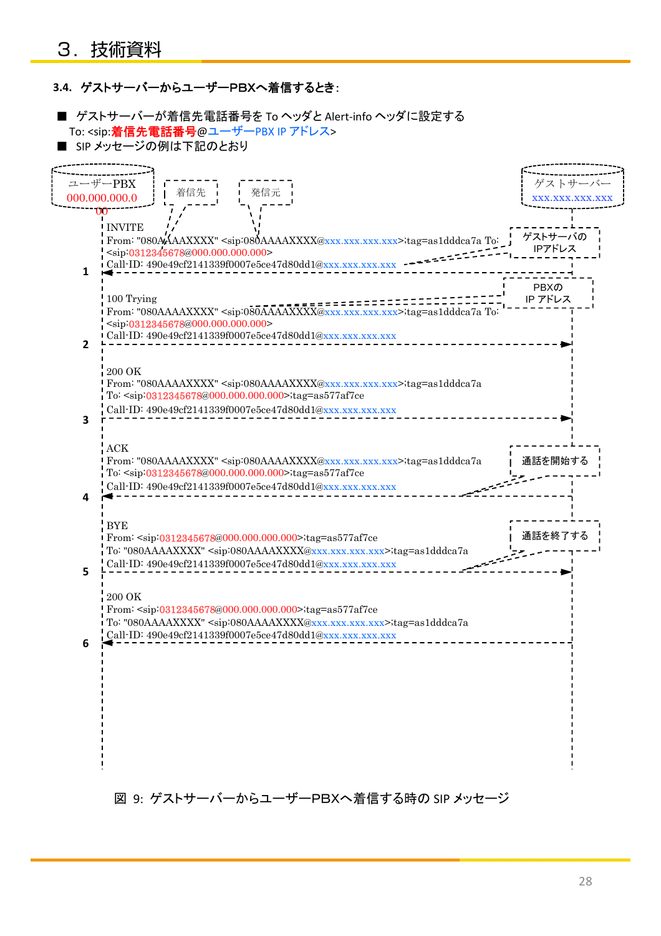#### **3.4.** ゲストサーバーからユーザーPBXへ着信するとき:

■ ゲストサーバーが着信先電話番号を To ヘッダと Alert-info ヘッダに設定する To: <sip: 着信先電話番号@ユーザーPBX IP アドレス> ■ SIP メッセージの例は下記のとおり ゲストサーバ xxx.xxx.xxx.xxx ユーザーPBX 000.000.000.0 00 ゲストサーバの IPアドレス 発信元 INVITE From: "080AAAAXXXX" <sip:080AAAAXXXX@xxx.xxx.xxx.xxx>;tag=as1dddca7a To: <sip:0312345678@000.000.000.000> 着信先 **1 2** i Call-ID: 490e49cf2141339f0007e5ce47d80dd1@xxx.xxx.xxx.xxx -100 Trying From: "080AAAAXXXX" <sip:080AAAAXXXX@xxx.xxx.xxx.xxx>;tag=as1dddca7a To: <sip:0312345678@000.000.000.000>  $\overline{\text{Cail}}$ -ID: 490e49cf2141339f0007e5ce47d80dd1@xxx.xxx.xxx.xxx. PBXの IP アドレス **3** 200 OK From: "080AAAAXXXX" <sip:080AAAAXXXX@xxx.xxx.xxx.xxx>;tag=as1dddca7a To: <sip:0312345678@000.000.000.000>;tag=as577af7ce Call-ID: 490e49cf2141339f0007e5ce47d80dd1@xxx.xxx.xxx.xxx ACK From: "080AAAAXXXX" <sip:080AAAAXXXX@xxx.xxx.xxx.xxx>;tag=as1dddca7a To: <sip:0312345678@000.000.000.000>;tag=as577af7ce 通話を開始す **4 5** Call-ID: 490e49cf2141339f0007e5ce47d80dd1@xxx.xxx.xxx.xxx **BYE** From: <sip:0312345678@000.000.000.000>;tag=as577af7ce To: "080AAAAXXXX" <sip:080AAAAXXXX@xxx.xxx.xxx.xxx>;tag=as1dddca7a Call-ID: 490e49cf2141339f0007e5ce47d80dd1@xxx.xxx.xxx.xxx 通話を終了する **6** 200 OK From: <sip:0312345678@000.000.000.000>;tag=as577af7ce ,<br>To: "080AAAAXXXX" <sip:080AAAAXXXX@xxx.xxx.xxx.xxx>;tag=as1dddca7a Call-ID: 490e49cf2141339f0007e5ce47d80dd1@xxx.xxx.xxx.xxx

図 9: ゲストサーバーからユーザーPBXへ着信する時の SIP メッセージ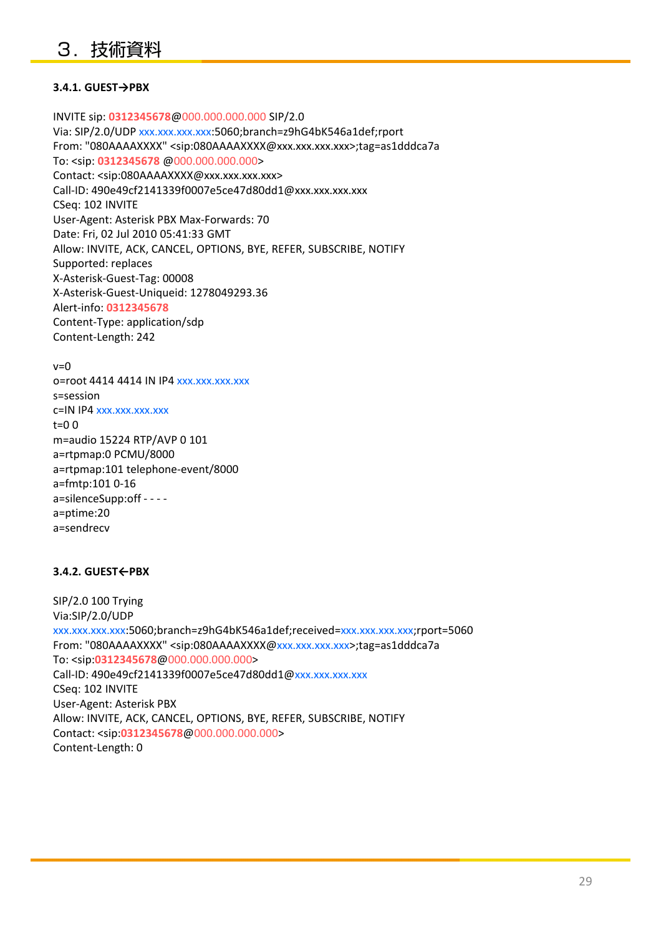#### **3.4.1. GUEST→PBX**

INVITE sip: **0312345678**@000.000.000.000 SIP/2.0 Via: SIP/2.0/UDP xxx.xxx.xxx.xxx:5060;branch=z9hG4bK546a1def;rport From: "080AAAAXXXX" <sip:080AAAAXXXX@xxx.xxx.xxx.xxx>;tag=as1dddca7a To: <sip: **0312345678** @000.000.000.000> Contact: <sip:080AAAAXXXX@xxx.xxx.xxx.xxx> Call-ID: 490e49cf2141339f0007e5ce47d80dd1@xxx.xxx.xxx.xxx CSeq: 102 INVITE User-Agent: Asterisk PBX Max-Forwards: 70 Date: Fri, 02 Jul 2010 05:41:33 GMT Allow: INVITE, ACK, CANCEL, OPTIONS, BYE, REFER, SUBSCRIBE, NOTIFY Supported: replaces X-Asterisk-Guest-Tag: 00008 X-Asterisk-Guest-Uniqueid: 1278049293.36 Alert-info: **0312345678** Content-Type: application/sdp Content-Length: 242

```
v=0
```
o=root 4414 4414 IN IP4 xxx.xxx.xxx.xxx s=session c=IN IP4 xxx.xxx.xxx.xxx  $t=0.0$ m=audio 15224 RTP/AVP 0 101 a=rtpmap:0 PCMU/8000 a=rtpmap:101 telephone-event/8000 a=fmtp:101 0-16 a=silenceSupp:off - - - a=ptime:20 a=sendrecv

#### **3.4.2. GUEST←PBX**

SIP/2.0 100 Trying Via:SIP/2.0/UDP xxx.xxx.xxx.xxx:5060;branch=z9hG4bK546a1def;received=xxx.xxx.xxx.xxx;rport=5060 From: "080AAAAXXXX" <sip:080AAAAXXXX@xxx.xxx.xxx.xxx>;tag=as1dddca7a To: <sip:**0312345678**@000.000.000.000> Call-ID: 490e49cf2141339f0007e5ce47d80dd1@xxx.xxx.xxx.xxx CSeq: 102 INVITE User-Agent: Asterisk PBX Allow: INVITE, ACK, CANCEL, OPTIONS, BYE, REFER, SUBSCRIBE, NOTIFY Contact: <sip:**0312345678**@000.000.000.000> Content-Length: 0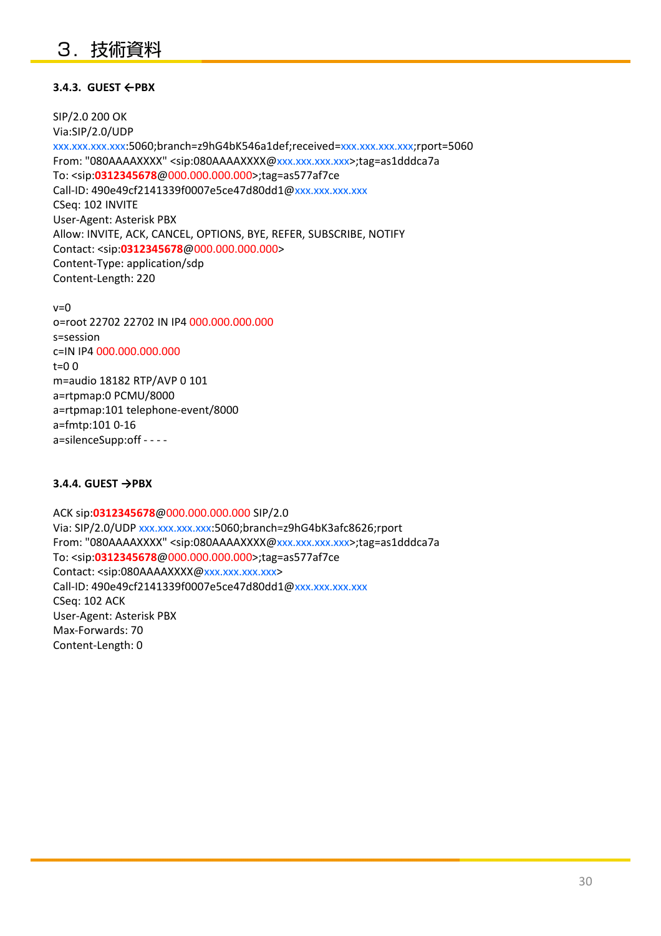## 3.技術資料

#### **3.4.3. GUEST ←PBX**

SIP/2.0 200 OK Via:SIP/2.0/UDP xxx.xxx.xxx.xxx:5060;branch=z9hG4bK546a1def;received=xxx.xxx.xxx.xxx;rport=5060 From: "080AAAAXXXX" <sip:080AAAAXXXX@xxx.xxx.xxx.xxx>;tag=as1dddca7a To: <sip:**0312345678**@000.000.000.000>;tag=as577af7ce Call-ID: 490e49cf2141339f0007e5ce47d80dd1@xxx.xxx.xxx.xxx CSeq: 102 INVITE User-Agent: Asterisk PBX Allow: INVITE, ACK, CANCEL, OPTIONS, BYE, REFER, SUBSCRIBE, NOTIFY Contact: <sip:**0312345678**@000.000.000.000> Content-Type: application/sdp Content-Length: 220

 $v=0$ o=root 22702 22702 IN IP4 000.000.000.000 s=session c=IN IP4 000.000.000.000  $t=0$   $\Omega$ m=audio 18182 RTP/AVP 0 101 a=rtpmap:0 PCMU/8000 a=rtpmap:101 telephone-event/8000 a=fmtp:101 0-16 a=silenceSupp:off - - - -

#### **3.4.4. GUEST →PBX**

ACK sip:**0312345678**@000.000.000.000 SIP/2.0 Via: SIP/2.0/UDP xxx.xxx.xxx.xxx:5060;branch=z9hG4bK3afc8626;rport From: "080AAAAXXXX" <sip:080AAAAXXXX@xxx.xxx.xxx.xxx>;tag=as1dddca7a To: <sip:**0312345678**@000.000.000.000>;tag=as577af7ce Contact: <sip:080AAAAXXXX@xxx.xxx.xxx.xxx> Call-ID: 490e49cf2141339f0007e5ce47d80dd1@xxx.xxx.xxx.xxx CSeq: 102 ACK User-Agent: Asterisk PBX Max-Forwards: 70 Content-Length: 0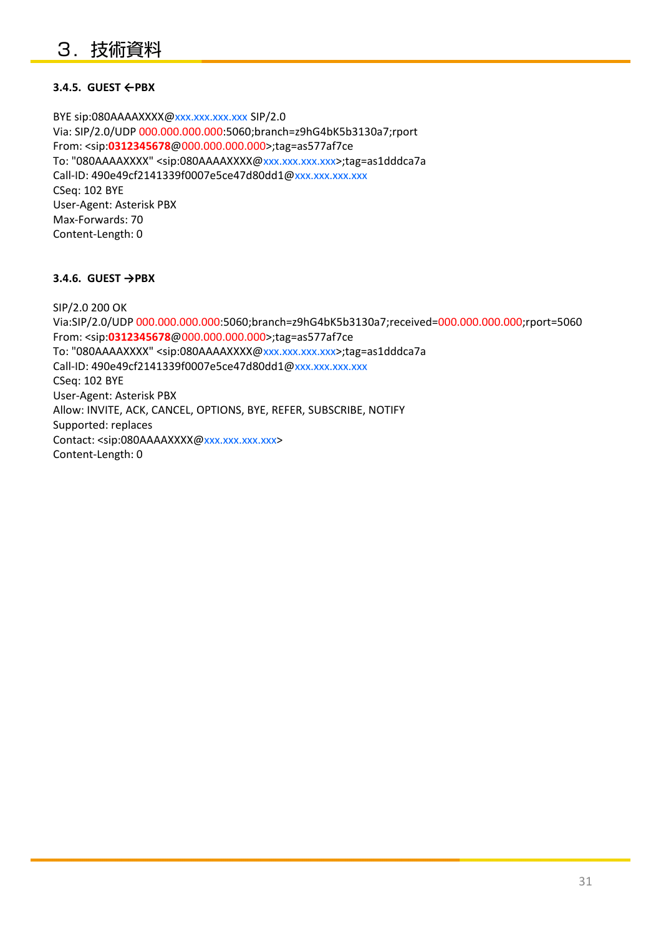#### **3.4.5. GUEST ←PBX**

BYE sip:080AAAAXXXX@xxx.xxx.xxx.xxx SIP/2.0 Via: SIP/2.0/UDP 000.000.000.000:5060;branch=z9hG4bK5b3130a7;rport From: <sip:**0312345678**@000.000.000.000>;tag=as577af7ce To: "080AAAAXXXX" <sip:080AAAAXXXX@xxx.xxx.xxx.xxx>;tag=as1dddca7a Call-ID: 490e49cf2141339f0007e5ce47d80dd1@xxx.xxx.xxx.xxx CSeq: 102 BYE User-Agent: Asterisk PBX Max-Forwards: 70 Content-Length: 0

#### **3.4.6. GUEST →PBX**

SIP/2.0 200 OK Via:SIP/2.0/UDP 000.000.000.000:5060;branch=z9hG4bK5b3130a7;received=000.000.000.000;rport=5060 From: <sip:**0312345678**@000.000.000.000>;tag=as577af7ce To: "080AAAAXXXX" <sip:080AAAAXXXX@xxx.xxx.xxx.xxx>;tag=as1dddca7a Call-ID: 490e49cf2141339f0007e5ce47d80dd1@xxx.xxx.xxx.xxx CSeq: 102 BYE User-Agent: Asterisk PBX Allow: INVITE, ACK, CANCEL, OPTIONS, BYE, REFER, SUBSCRIBE, NOTIFY Supported: replaces Contact: <sip:080AAAAXXXX@xxx.xxx.xxx.xxx> Content-Length: 0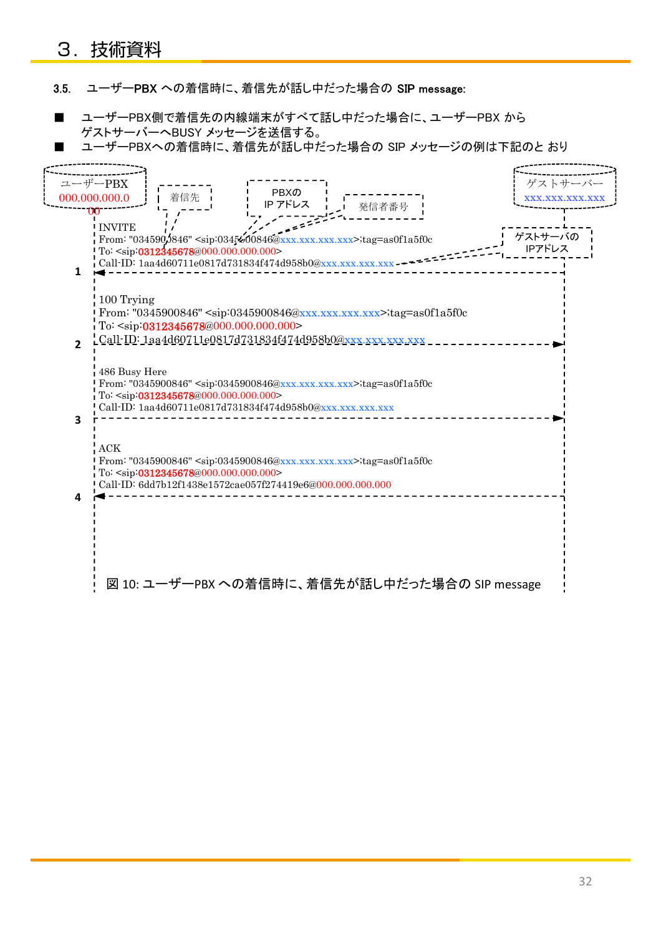## 3.技術資料

3.5. ユーザーPBX への着信時に、着信先が話し中だった場合の SIP message:

■ ユーザーPBX側で着信先の内線端末がすべて話し中だった場合に、ユーザーPBX から ゲストサーバーへBUSY メッセージを送信する。

■ ユーザーPBXへの着信時に、着信先が話し中だった場合の SIP メッセージの例は下記のと おり

| ユーザーPBX       |                                                                           |                                                               |                                                                                                      |                                                | ゲストサーバー               |
|---------------|---------------------------------------------------------------------------|---------------------------------------------------------------|------------------------------------------------------------------------------------------------------|------------------------------------------------|-----------------------|
| 000.000.000.0 | 着信先                                                                       | <b>PBXの</b>                                                   |                                                                                                      |                                                | <b>XXX.XXX.XXX.XX</b> |
| m             |                                                                           | IP アドレス                                                       | 発信者番号                                                                                                |                                                |                       |
| <b>INVITE</b> |                                                                           |                                                               |                                                                                                      |                                                |                       |
|               |                                                                           |                                                               | From: "034590,0846" <sip:0345600846@xxx.xxx.xxx.xxx>;tag=as0f1a5f0c</sip:0345600846@xxx.xxx.xxx.xxx> |                                                | ゲストサーバの               |
|               | To: <sip:0312345678@000.000.000.000></sip:0312345678@000.000.000.000>     |                                                               |                                                                                                      |                                                | IPアドレス                |
| 1             |                                                                           | Call-ID: $1aa4d60711e0817d731834f474d958b0@xxx,xxx,x$         |                                                                                                      |                                                |                       |
|               |                                                                           |                                                               |                                                                                                      |                                                |                       |
| 100 Trying    |                                                                           |                                                               |                                                                                                      |                                                |                       |
|               |                                                                           |                                                               | From: "0345900846" <sip:0345900846@xxx.xxx.xxx.xxx>;tag=as0f1a5f0c</sip:0345900846@xxx.xxx.xxx.xxx>  |                                                |                       |
|               | To: <sip:0312345678@000.000.000.000></sip:0312345678@000.000.000.000>     |                                                               |                                                                                                      |                                                |                       |
| $\mathbf{z}$  |                                                                           |                                                               | Call-ID: 1aa4d60711e0817d731834f474d958b0@xxx.xxx.xxx.xxx                                            |                                                |                       |
|               |                                                                           |                                                               |                                                                                                      |                                                |                       |
| 486 Busy Here |                                                                           |                                                               | From: "0345900846" <sip:0345900846@xxx.xxx.xxx.xxx>;tag=as0f1a5f0c</sip:0345900846@xxx.xxx.xxx.xxx>  |                                                |                       |
|               | To: <sip:0312345678@000.000.000.000></sip:0312345678@000.000.000.000>     |                                                               |                                                                                                      |                                                |                       |
|               |                                                                           | Call-ID: 1aa4d60711e0817d731834f474d958b0@xxx.xxx.xxx.xxx.xxx |                                                                                                      |                                                |                       |
|               |                                                                           |                                                               |                                                                                                      |                                                |                       |
| $\rm{ACK}$    |                                                                           |                                                               |                                                                                                      |                                                |                       |
|               |                                                                           |                                                               | From: "0345900846" <sip:0345900846@xxx.xxx.xxx.xxx>;tag=as0f1a5f0c</sip:0345900846@xxx.xxx.xxx.xxx>  |                                                |                       |
|               | $T_0$ : <sip:0312345678@000.000.000.000></sip:0312345678@000.000.000.000> |                                                               |                                                                                                      |                                                |                       |
| 4             |                                                                           | Call-ID: 6dd7b12f1438e1572cae057f274419e6@000.000.000.000     |                                                                                                      |                                                |                       |
|               |                                                                           |                                                               |                                                                                                      |                                                |                       |
|               |                                                                           |                                                               |                                                                                                      |                                                |                       |
|               |                                                                           |                                                               |                                                                                                      |                                                |                       |
|               |                                                                           |                                                               |                                                                                                      |                                                |                       |
|               |                                                                           |                                                               |                                                                                                      |                                                |                       |
|               |                                                                           |                                                               |                                                                                                      | 図 10: ユーザーPBX への着信時に、着信先が話し中だった場合の SIP message |                       |
|               |                                                                           |                                                               |                                                                                                      |                                                |                       |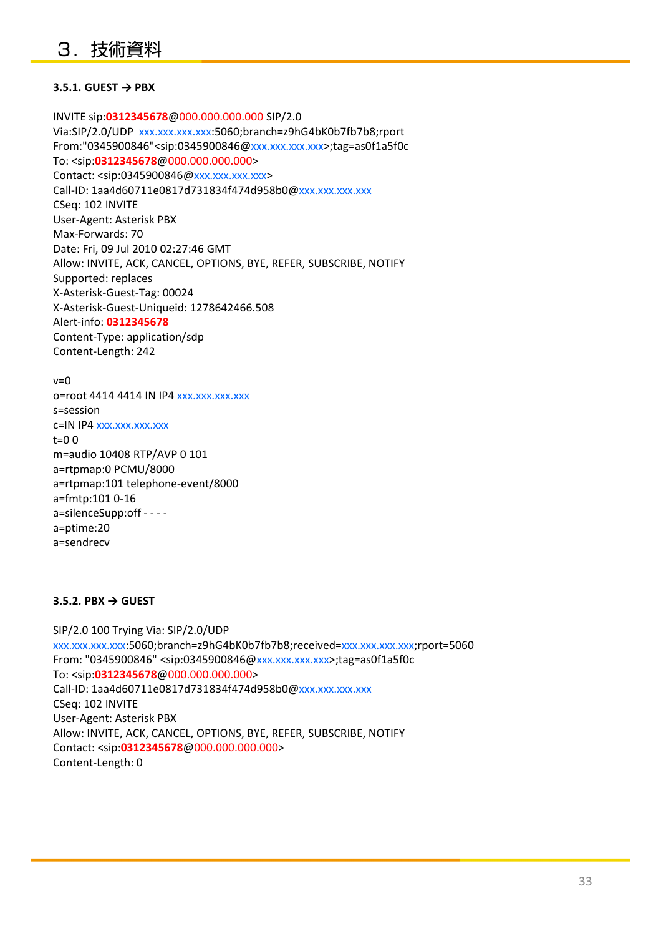#### **3.5.1. GUEST → PBX**

INVITE sip:**0312345678**@000.000.000.000 SIP/2.0 Via:SIP/2.0/UDP xxx.xxx.xxx.xxx:5060;branch=z9hG4bK0b7fb7b8;rport From:"0345900846"<sip:0345900846@xxx.xxx.xxx.xxx>;tag=as0f1a5f0c To: <sip:**0312345678**@000.000.000.000> Contact: <sip:0345900846@xxx.xxx.xxx.xxx> Call-ID: 1aa4d60711e0817d731834f474d958b0@xxx.xxx.xxx.xxx CSeq: 102 INVITE User-Agent: Asterisk PBX Max-Forwards: 70 Date: Fri, 09 Jul 2010 02:27:46 GMT Allow: INVITE, ACK, CANCEL, OPTIONS, BYE, REFER, SUBSCRIBE, NOTIFY Supported: replaces X-Asterisk-Guest-Tag: 00024 X-Asterisk-Guest-Uniqueid: 1278642466.508 Alert-info: **0312345678** Content-Type: application/sdp Content-Length: 242

 $v=0$ o=root 4414 4414 IN IP4 xxx.xxx.xxx.xxx s=session c=IN IP4 xxx.xxx.xxx.xxx t=0 0 m=audio 10408 RTP/AVP 0 101 a=rtpmap:0 PCMU/8000 a=rtpmap:101 telephone-event/8000 a=fmtp:101 0-16 a=silenceSupp:off - - - a=ptime:20 a=sendrecv

#### **3.5.2. PBX → GUEST**

SIP/2.0 100 Trying Via: SIP/2.0/UDP xxx.xxx.xxx.xxx:5060;branch=z9hG4bK0b7fb7b8;received=xxx.xxx.xxx.xxx;rport=5060 From: "0345900846" <sip:0345900846@xxx.xxx.xxx.xxx>;tag=as0f1a5f0c To: <sip:**0312345678**@000.000.000.000> Call-ID: 1aa4d60711e0817d731834f474d958b0@xxx.xxx.xxx.xxx CSeq: 102 INVITE User-Agent: Asterisk PBX Allow: INVITE, ACK, CANCEL, OPTIONS, BYE, REFER, SUBSCRIBE, NOTIFY Contact: <sip:**0312345678**@000.000.000.000> Content-Length: 0